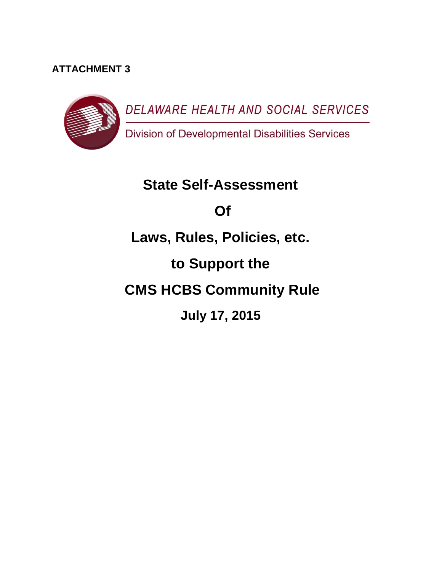## **ATTACHMENT 3**



# **State Self-Assessment Of Laws, Rules, Policies, etc. to Support the CMS HCBS Community Rule July 17, 2015**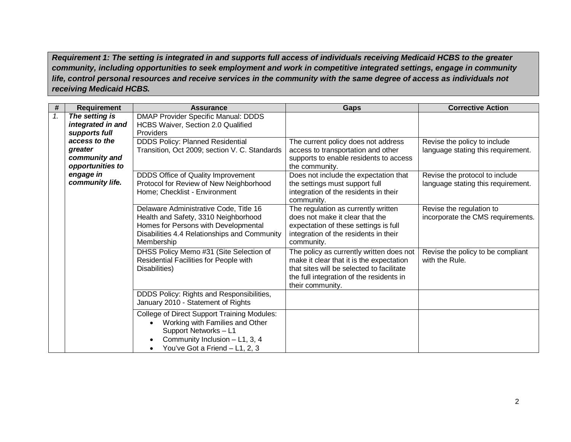*Requirement 1: The setting is integrated in and supports full access of individuals receiving Medicaid HCBS to the greater community, including opportunities to seek employment and work in competitive integrated settings, engage in community life, control personal resources and receive services in the community with the same degree of access as individuals not receiving Medicaid HCBS.*

| #  | <b>Requirement</b>                  | <b>Assurance</b>                                                                                                                                                                     | <b>Gaps</b>                                                                                                                                                                                       | <b>Corrective Action</b>                                             |
|----|-------------------------------------|--------------------------------------------------------------------------------------------------------------------------------------------------------------------------------------|---------------------------------------------------------------------------------------------------------------------------------------------------------------------------------------------------|----------------------------------------------------------------------|
| 1. | The setting is<br>integrated in and | <b>DMAP Provider Specific Manual: DDDS</b><br>HCBS Waiver, Section 2.0 Qualified                                                                                                     |                                                                                                                                                                                                   |                                                                      |
|    | supports full                       | Providers                                                                                                                                                                            |                                                                                                                                                                                                   |                                                                      |
|    | access to the                       | <b>DDDS Policy: Planned Residential</b>                                                                                                                                              | The current policy does not address                                                                                                                                                               | Revise the policy to include                                         |
|    | greater                             | Transition, Oct 2009; section V. C. Standards                                                                                                                                        | access to transportation and other                                                                                                                                                                | language stating this requirement.                                   |
|    | community and                       |                                                                                                                                                                                      | supports to enable residents to access                                                                                                                                                            |                                                                      |
|    | opportunities to                    |                                                                                                                                                                                      | the community.                                                                                                                                                                                    |                                                                      |
|    | engage in<br>community life.        | DDDS Office of Quality Improvement<br>Protocol for Review of New Neighborhood<br>Home; Checklist - Environment                                                                       | Does not include the expectation that<br>the settings must support full<br>integration of the residents in their<br>community.                                                                    | Revise the protocol to include<br>language stating this requirement. |
|    |                                     | Delaware Administrative Code, Title 16<br>Health and Safety, 3310 Neighborhood<br>Homes for Persons with Developmental<br>Disabilities 4.4 Relationships and Community<br>Membership | The regulation as currently written<br>does not make it clear that the<br>expectation of these settings is full<br>integration of the residents in their<br>community.                            | Revise the regulation to<br>incorporate the CMS requirements.        |
|    |                                     | DHSS Policy Memo #31 (Site Selection of<br>Residential Facilities for People with<br>Disabilities)                                                                                   | The policy as currently written does not<br>make it clear that it is the expectation<br>that sites will be selected to facilitate<br>the full integration of the residents in<br>their community. | Revise the policy to be compliant<br>with the Rule.                  |
|    |                                     | DDDS Policy: Rights and Responsibilities,<br>January 2010 - Statement of Rights                                                                                                      |                                                                                                                                                                                                   |                                                                      |
|    |                                     | <b>College of Direct Support Training Modules:</b><br>Working with Families and Other<br>Support Networks - L1<br>Community Inclusion - L1, 3, 4<br>You've Got a Friend - L1, 2, 3   |                                                                                                                                                                                                   |                                                                      |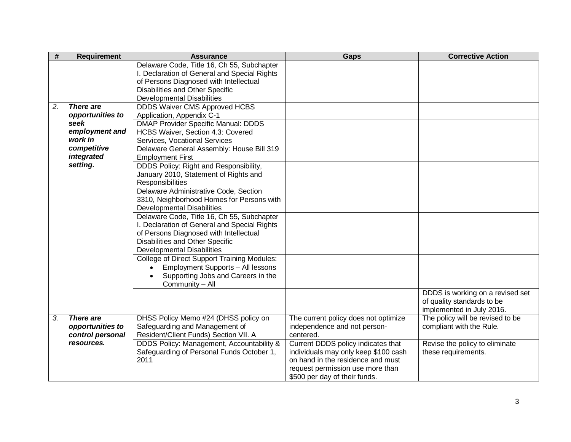| #                | <b>Requirement</b> | <b>Assurance</b>                                   | Gaps                                 | <b>Corrective Action</b>         |
|------------------|--------------------|----------------------------------------------------|--------------------------------------|----------------------------------|
|                  |                    | Delaware Code, Title 16, Ch 55, Subchapter         |                                      |                                  |
|                  |                    | I. Declaration of General and Special Rights       |                                      |                                  |
|                  |                    | of Persons Diagnosed with Intellectual             |                                      |                                  |
|                  |                    | Disabilities and Other Specific                    |                                      |                                  |
|                  |                    | <b>Developmental Disabilities</b>                  |                                      |                                  |
| $\overline{2}$ . | <b>There are</b>   | <b>DDDS Waiver CMS Approved HCBS</b>               |                                      |                                  |
|                  | opportunities to   | Application, Appendix C-1                          |                                      |                                  |
|                  | seek               | <b>DMAP Provider Specific Manual: DDDS</b>         |                                      |                                  |
|                  | employment and     | HCBS Waiver, Section 4.3: Covered                  |                                      |                                  |
|                  | work in            | Services, Vocational Services                      |                                      |                                  |
|                  | competitive        | Delaware General Assembly: House Bill 319          |                                      |                                  |
|                  | integrated         | <b>Employment First</b>                            |                                      |                                  |
|                  | setting.           | DDDS Policy: Right and Responsibility,             |                                      |                                  |
|                  |                    | January 2010, Statement of Rights and              |                                      |                                  |
|                  |                    | Responsibilities                                   |                                      |                                  |
|                  |                    | Delaware Administrative Code, Section              |                                      |                                  |
|                  |                    | 3310, Neighborhood Homes for Persons with          |                                      |                                  |
|                  |                    | <b>Developmental Disabilities</b>                  |                                      |                                  |
|                  |                    | Delaware Code, Title 16, Ch 55, Subchapter         |                                      |                                  |
|                  |                    | I. Declaration of General and Special Rights       |                                      |                                  |
|                  |                    | of Persons Diagnosed with Intellectual             |                                      |                                  |
|                  |                    | Disabilities and Other Specific                    |                                      |                                  |
|                  |                    | <b>Developmental Disabilities</b>                  |                                      |                                  |
|                  |                    | <b>College of Direct Support Training Modules:</b> |                                      |                                  |
|                  |                    | Employment Supports - All lessons                  |                                      |                                  |
|                  |                    | Supporting Jobs and Careers in the                 |                                      |                                  |
|                  |                    | Community - All                                    |                                      |                                  |
|                  |                    |                                                    |                                      | DDDS is working on a revised set |
|                  |                    |                                                    |                                      | of quality standards to be       |
|                  |                    |                                                    |                                      | implemented in July 2016.        |
| 3.               | There are          | DHSS Policy Memo #24 (DHSS policy on               | The current policy does not optimize | The policy will be revised to be |
|                  | opportunities to   | Safeguarding and Management of                     | independence and not person-         | compliant with the Rule.         |
|                  | control personal   | Resident/Client Funds) Section VII. A              | centered.                            |                                  |
|                  | resources.         | DDDS Policy: Management, Accountability &          | Current DDDS policy indicates that   | Revise the policy to eliminate   |
|                  |                    | Safeguarding of Personal Funds October 1,          | individuals may only keep \$100 cash | these requirements.              |
|                  |                    | 2011                                               | on hand in the residence and must    |                                  |
|                  |                    |                                                    | request permission use more than     |                                  |
|                  |                    |                                                    | \$500 per day of their funds.        |                                  |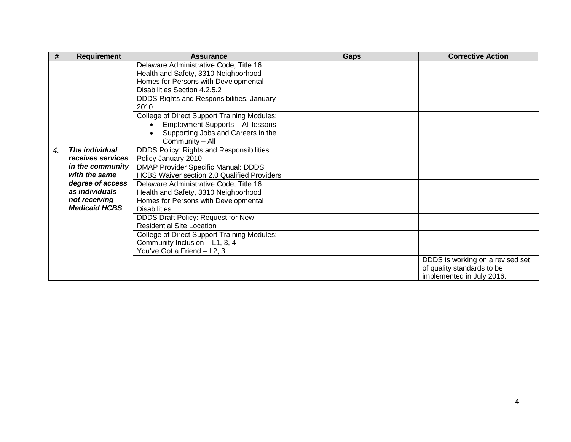| #  | Requirement          | <b>Assurance</b>                                   | <b>Gaps</b> | <b>Corrective Action</b>         |
|----|----------------------|----------------------------------------------------|-------------|----------------------------------|
|    |                      | Delaware Administrative Code, Title 16             |             |                                  |
|    |                      | Health and Safety, 3310 Neighborhood               |             |                                  |
|    |                      | Homes for Persons with Developmental               |             |                                  |
|    |                      | Disabilities Section 4.2.5.2                       |             |                                  |
|    |                      | DDDS Rights and Responsibilities, January          |             |                                  |
|    |                      | 2010                                               |             |                                  |
|    |                      | <b>College of Direct Support Training Modules:</b> |             |                                  |
|    |                      | Employment Supports - All lessons                  |             |                                  |
|    |                      | Supporting Jobs and Careers in the                 |             |                                  |
|    |                      | Community - All                                    |             |                                  |
| 4. | The individual       | DDDS Policy: Rights and Responsibilities           |             |                                  |
|    | receives services    | Policy January 2010                                |             |                                  |
|    | in the community     | DMAP Provider Specific Manual: DDDS                |             |                                  |
|    | with the same        | <b>HCBS Waiver section 2.0 Qualified Providers</b> |             |                                  |
|    | degree of access     | Delaware Administrative Code, Title 16             |             |                                  |
|    | as individuals       | Health and Safety, 3310 Neighborhood               |             |                                  |
|    | not receiving        | Homes for Persons with Developmental               |             |                                  |
|    | <b>Medicaid HCBS</b> | <b>Disabilities</b>                                |             |                                  |
|    |                      | DDDS Draft Policy: Request for New                 |             |                                  |
|    |                      | <b>Residential Site Location</b>                   |             |                                  |
|    |                      | <b>College of Direct Support Training Modules:</b> |             |                                  |
|    |                      | Community Inclusion - L1, 3, 4                     |             |                                  |
|    |                      | You've Got a Friend - L2, 3                        |             |                                  |
|    |                      |                                                    |             | DDDS is working on a revised set |
|    |                      |                                                    |             | of quality standards to be       |
|    |                      |                                                    |             | implemented in July 2016.        |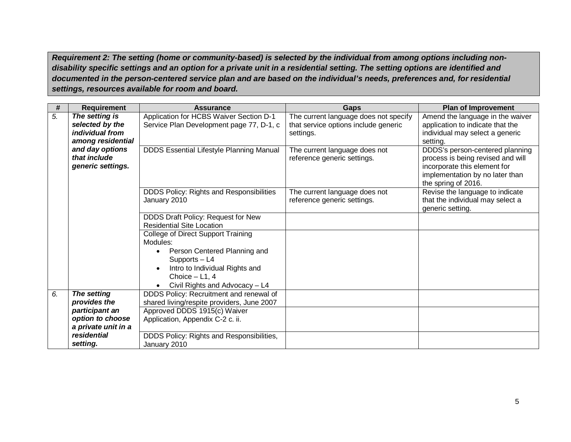*Requirement 2: The setting (home or community-based) is selected by the individual from among options including nondisability specific settings and an option for a private unit in a residential setting. The setting options are identified and documented in the person-centered service plan and are based on the individual's needs, preferences and, for residential settings, resources available for room and board.*

| #  | <b>Requirement</b>                        | <b>Assurance</b>                                | <b>Gaps</b>                                                  | <b>Plan of Improvement</b>                  |
|----|-------------------------------------------|-------------------------------------------------|--------------------------------------------------------------|---------------------------------------------|
| 5. | The setting is                            | Application for HCBS Waiver Section D-1         | The current language does not specify                        | Amend the language in the waiver            |
|    | selected by the<br><i>individual from</i> | Service Plan Development page 77, D-1, c        | that service options include generic                         | application to indicate that the            |
|    | among residential                         |                                                 | settings.                                                    | individual may select a generic<br>setting. |
|    | and day options                           | <b>DDDS Essential Lifestyle Planning Manual</b> |                                                              | DDDS's person-centered planning             |
|    | that include                              |                                                 | The current language does not<br>reference generic settings. | process is being revised and will           |
|    | generic settings.                         |                                                 |                                                              | incorporate this element for                |
|    |                                           |                                                 |                                                              | implementation by no later than             |
|    |                                           |                                                 |                                                              | the spring of 2016.                         |
|    |                                           | DDDS Policy: Rights and Responsibilities        | The current language does not                                | Revise the language to indicate             |
|    |                                           | January 2010                                    | reference generic settings.                                  | that the individual may select a            |
|    |                                           |                                                 |                                                              | generic setting.                            |
|    |                                           | DDDS Draft Policy: Request for New              |                                                              |                                             |
|    |                                           | <b>Residential Site Location</b>                |                                                              |                                             |
|    |                                           | <b>College of Direct Support Training</b>       |                                                              |                                             |
|    |                                           | Modules:                                        |                                                              |                                             |
|    |                                           | Person Centered Planning and                    |                                                              |                                             |
|    |                                           | Supports - L4                                   |                                                              |                                             |
|    |                                           | Intro to Individual Rights and                  |                                                              |                                             |
|    |                                           | Choice $- L1, 4$                                |                                                              |                                             |
|    |                                           | Civil Rights and Advocacy - L4                  |                                                              |                                             |
| 6. | The setting                               | DDDS Policy: Recruitment and renewal of         |                                                              |                                             |
|    | provides the                              | shared living/respite providers, June 2007      |                                                              |                                             |
|    | participant an                            | Approved DDDS 1915(c) Waiver                    |                                                              |                                             |
|    | option to choose                          | Application, Appendix C-2 c. ii.                |                                                              |                                             |
|    | a private unit in a                       |                                                 |                                                              |                                             |
|    | residential                               | DDDS Policy: Rights and Responsibilities,       |                                                              |                                             |
|    | setting.                                  | January 2010                                    |                                                              |                                             |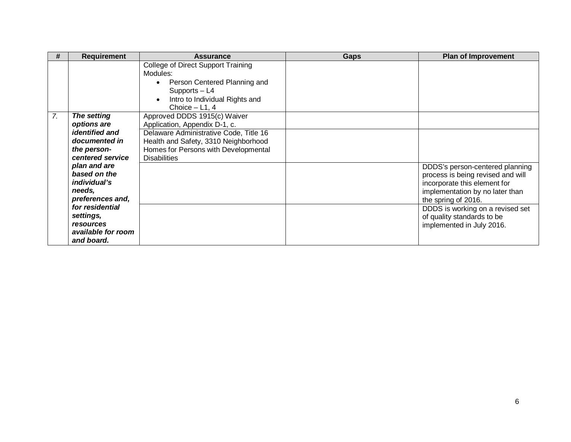| #  | <b>Requirement</b>                  | <b>Assurance</b>                                                                                                                                      | <b>Gaps</b> | <b>Plan of Improvement</b>        |
|----|-------------------------------------|-------------------------------------------------------------------------------------------------------------------------------------------------------|-------------|-----------------------------------|
|    |                                     | College of Direct Support Training<br>Modules:<br>Person Centered Planning and<br>Supports - L4<br>Intro to Individual Rights and<br>Choice $-$ L1, 4 |             |                                   |
| 7. | The setting                         | Approved DDDS 1915(c) Waiver                                                                                                                          |             |                                   |
|    | options are                         | Application, Appendix D-1, c.                                                                                                                         |             |                                   |
|    | <i>identified and</i>               | Delaware Administrative Code, Title 16                                                                                                                |             |                                   |
|    | documented in                       | Health and Safety, 3310 Neighborhood                                                                                                                  |             |                                   |
|    | the person-                         | Homes for Persons with Developmental                                                                                                                  |             |                                   |
|    | centered service                    | <b>Disabilities</b>                                                                                                                                   |             |                                   |
|    | plan and are                        |                                                                                                                                                       |             | DDDS's person-centered planning   |
|    | based on the                        |                                                                                                                                                       |             | process is being revised and will |
|    | <i>individual's</i>                 |                                                                                                                                                       |             | incorporate this element for      |
|    | needs,                              |                                                                                                                                                       |             | implementation by no later than   |
|    | preferences and,<br>for residential |                                                                                                                                                       |             | the spring of 2016.               |
|    | settings,                           |                                                                                                                                                       |             | DDDS is working on a revised set  |
|    | resources                           |                                                                                                                                                       |             | of quality standards to be        |
|    | available for room                  |                                                                                                                                                       |             | implemented in July 2016.         |
|    | and board.                          |                                                                                                                                                       |             |                                   |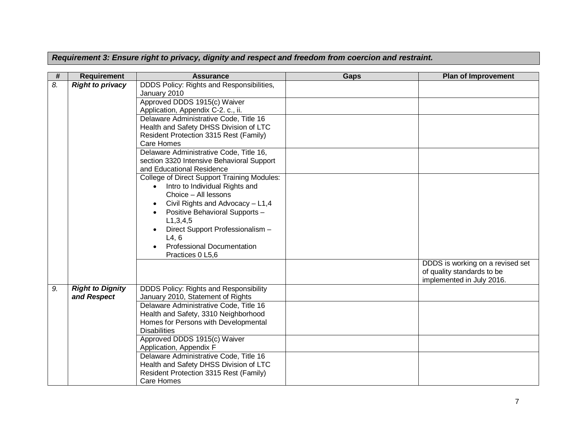*Requirement 3: Ensure right to privacy, dignity and respect and freedom from coercion and restraint.*

| #  | <b>Requirement</b>      | <b>Assurance</b>                                            | <b>Gaps</b> | <b>Plan of Improvement</b>       |
|----|-------------------------|-------------------------------------------------------------|-------------|----------------------------------|
| 8. | <b>Right to privacy</b> | DDDS Policy: Rights and Responsibilities,<br>January 2010   |             |                                  |
|    |                         | Approved DDDS 1915(c) Waiver                                |             |                                  |
|    |                         | Application, Appendix C-2. c., ii.                          |             |                                  |
|    |                         | Delaware Administrative Code, Title 16                      |             |                                  |
|    |                         | Health and Safety DHSS Division of LTC                      |             |                                  |
|    |                         | Resident Protection 3315 Rest (Family)                      |             |                                  |
|    |                         | Care Homes<br>Delaware Administrative Code, Title 16,       |             |                                  |
|    |                         | section 3320 Intensive Behavioral Support                   |             |                                  |
|    |                         | and Educational Residence                                   |             |                                  |
|    |                         | <b>College of Direct Support Training Modules:</b>          |             |                                  |
|    |                         | Intro to Individual Rights and<br>$\bullet$                 |             |                                  |
|    |                         | Choice - All lessons                                        |             |                                  |
|    |                         | Civil Rights and Advocacy - L1,4                            |             |                                  |
|    |                         | Positive Behavioral Supports -                              |             |                                  |
|    |                         | L1, 3, 4, 5                                                 |             |                                  |
|    |                         | Direct Support Professionalism -                            |             |                                  |
|    |                         | L4, 6                                                       |             |                                  |
|    |                         | <b>Professional Documentation</b><br>Practices 0 L5,6       |             |                                  |
|    |                         |                                                             |             | DDDS is working on a revised set |
|    |                         |                                                             |             | of quality standards to be       |
|    |                         |                                                             |             | implemented in July 2016.        |
| 9. | <b>Right to Dignity</b> | <b>DDDS Policy: Rights and Responsibility</b>               |             |                                  |
|    | and Respect             | January 2010, Statement of Rights                           |             |                                  |
|    |                         | Delaware Administrative Code, Title 16                      |             |                                  |
|    |                         | Health and Safety, 3310 Neighborhood                        |             |                                  |
|    |                         | Homes for Persons with Developmental<br><b>Disabilities</b> |             |                                  |
|    |                         | Approved DDDS 1915(c) Waiver                                |             |                                  |
|    |                         | Application, Appendix F                                     |             |                                  |
|    |                         | Delaware Administrative Code, Title 16                      |             |                                  |
|    |                         | Health and Safety DHSS Division of LTC                      |             |                                  |
|    |                         | Resident Protection 3315 Rest (Family)                      |             |                                  |
|    |                         | Care Homes                                                  |             |                                  |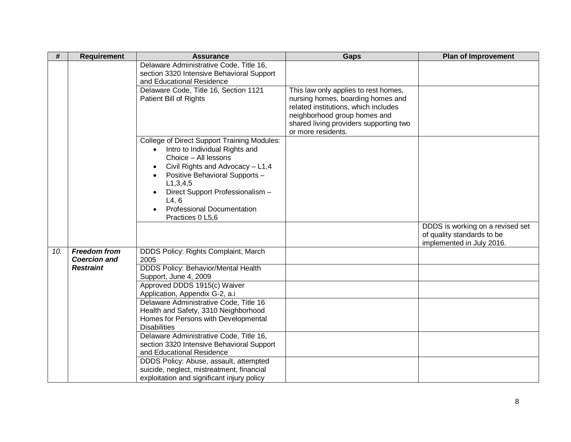| #   | <b>Requirement</b>  | <b>Assurance</b>                                                                     | <b>Gaps</b>                                                               | <b>Plan of Improvement</b>                              |
|-----|---------------------|--------------------------------------------------------------------------------------|---------------------------------------------------------------------------|---------------------------------------------------------|
|     |                     | Delaware Administrative Code, Title 16,                                              |                                                                           |                                                         |
|     |                     | section 3320 Intensive Behavioral Support<br>and Educational Residence               |                                                                           |                                                         |
|     |                     | Delaware Code, Title 16, Section 1121                                                |                                                                           |                                                         |
|     |                     | Patient Bill of Rights                                                               | This law only applies to rest homes,<br>nursing homes, boarding homes and |                                                         |
|     |                     |                                                                                      | related institutions, which includes                                      |                                                         |
|     |                     |                                                                                      | neighborhood group homes and                                              |                                                         |
|     |                     |                                                                                      | shared living providers supporting two                                    |                                                         |
|     |                     |                                                                                      | or more residents.                                                        |                                                         |
|     |                     | <b>College of Direct Support Training Modules:</b>                                   |                                                                           |                                                         |
|     |                     | Intro to Individual Rights and                                                       |                                                                           |                                                         |
|     |                     | Choice - All lessons                                                                 |                                                                           |                                                         |
|     |                     | Civil Rights and Advocacy - L1,4                                                     |                                                                           |                                                         |
|     |                     | Positive Behavioral Supports -                                                       |                                                                           |                                                         |
|     |                     | L1, 3, 4, 5                                                                          |                                                                           |                                                         |
|     |                     | Direct Support Professionalism -                                                     |                                                                           |                                                         |
|     |                     | L4, 6                                                                                |                                                                           |                                                         |
|     |                     | <b>Professional Documentation</b>                                                    |                                                                           |                                                         |
|     |                     | Practices 0 L5,6                                                                     |                                                                           |                                                         |
|     |                     |                                                                                      |                                                                           | DDDS is working on a revised set                        |
|     |                     |                                                                                      |                                                                           | of quality standards to be<br>implemented in July 2016. |
| 10. | <b>Freedom from</b> | DDDS Policy: Rights Complaint, March                                                 |                                                                           |                                                         |
|     | <b>Coercion and</b> | 2005                                                                                 |                                                                           |                                                         |
|     | <b>Restraint</b>    | <b>DDDS Policy: Behavior/Mental Health</b>                                           |                                                                           |                                                         |
|     |                     | Support, June 4, 2009                                                                |                                                                           |                                                         |
|     |                     | Approved DDDS 1915(c) Waiver                                                         |                                                                           |                                                         |
|     |                     | Application, Appendix G-2, a.i                                                       |                                                                           |                                                         |
|     |                     | Delaware Administrative Code, Title 16                                               |                                                                           |                                                         |
|     |                     | Health and Safety, 3310 Neighborhood                                                 |                                                                           |                                                         |
|     |                     | Homes for Persons with Developmental                                                 |                                                                           |                                                         |
|     |                     | <b>Disabilities</b>                                                                  |                                                                           |                                                         |
|     |                     | Delaware Administrative Code, Title 16,<br>section 3320 Intensive Behavioral Support |                                                                           |                                                         |
|     |                     | and Educational Residence                                                            |                                                                           |                                                         |
|     |                     | DDDS Policy: Abuse, assault, attempted                                               |                                                                           |                                                         |
|     |                     | suicide, neglect, mistreatment, financial                                            |                                                                           |                                                         |
|     |                     | exploitation and significant injury policy                                           |                                                                           |                                                         |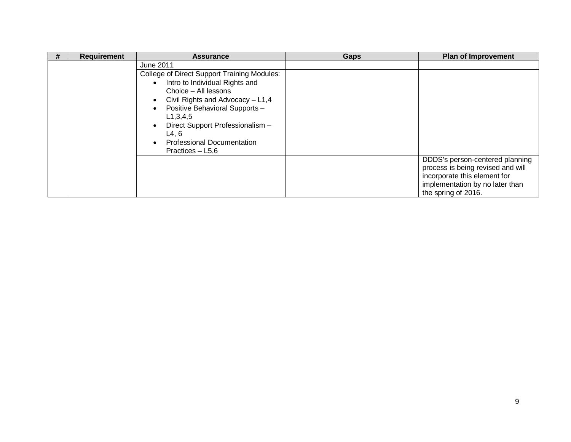| # | <b>Requirement</b> | <b>Assurance</b>                                                                                                                                                                                                                                                                                              | Gaps | <b>Plan of Improvement</b>                                                                                                                                     |
|---|--------------------|---------------------------------------------------------------------------------------------------------------------------------------------------------------------------------------------------------------------------------------------------------------------------------------------------------------|------|----------------------------------------------------------------------------------------------------------------------------------------------------------------|
|   |                    | June 2011<br>College of Direct Support Training Modules:<br>Intro to Individual Rights and<br>Choice – All lessons<br>Civil Rights and Advocacy - L1,4<br>Positive Behavioral Supports -<br>L1, 3, 4, 5<br>Direct Support Professionalism -<br>L4, 6<br><b>Professional Documentation</b><br>Practices - L5,6 |      |                                                                                                                                                                |
|   |                    |                                                                                                                                                                                                                                                                                                               |      | DDDS's person-centered planning<br>process is being revised and will<br>incorporate this element for<br>implementation by no later than<br>the spring of 2016. |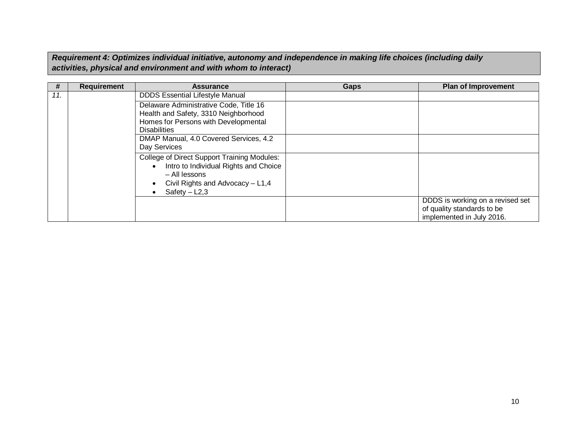*Requirement 4: Optimizes individual initiative, autonomy and independence in making life choices (including daily activities, physical and environment and with whom to interact)*

| #   | <b>Requirement</b> | <b>Assurance</b>                                                                                                                                            | Gaps | <b>Plan of Improvement</b>                                                                  |
|-----|--------------------|-------------------------------------------------------------------------------------------------------------------------------------------------------------|------|---------------------------------------------------------------------------------------------|
| 11. |                    | <b>DDDS Essential Lifestyle Manual</b>                                                                                                                      |      |                                                                                             |
|     |                    | Delaware Administrative Code, Title 16<br>Health and Safety, 3310 Neighborhood<br>Homes for Persons with Developmental<br><b>Disabilities</b>               |      |                                                                                             |
|     |                    | DMAP Manual, 4.0 Covered Services, 4.2<br>Day Services                                                                                                      |      |                                                                                             |
|     |                    | College of Direct Support Training Modules:<br>Intro to Individual Rights and Choice<br>– All lessons<br>Civil Rights and Advocacy - L1,4<br>Safety $-L2,3$ |      |                                                                                             |
|     |                    |                                                                                                                                                             |      | DDDS is working on a revised set<br>of quality standards to be<br>implemented in July 2016. |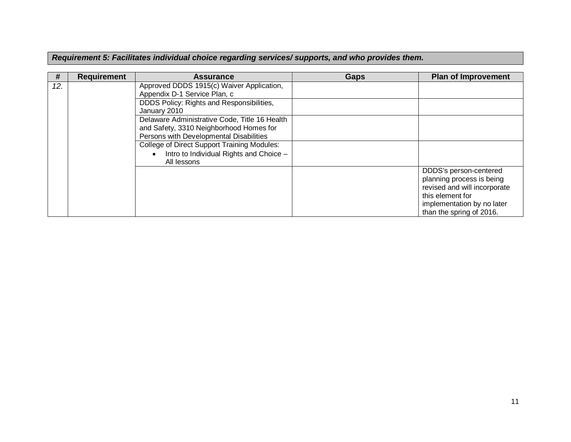*Requirement 5: Facilitates individual choice regarding services/ supports, and who provides them.*

| #   | <b>Requirement</b> | <b>Assurance</b>                                     | Gaps | <b>Plan of Improvement</b>   |
|-----|--------------------|------------------------------------------------------|------|------------------------------|
| 12. |                    | Approved DDDS 1915(c) Waiver Application,            |      |                              |
|     |                    | Appendix D-1 Service Plan, c                         |      |                              |
|     |                    | DDDS Policy: Rights and Responsibilities,            |      |                              |
|     |                    | January 2010                                         |      |                              |
|     |                    | Delaware Administrative Code, Title 16 Health        |      |                              |
|     |                    | and Safety, 3310 Neighborhood Homes for              |      |                              |
|     |                    | Persons with Developmental Disabilities              |      |                              |
|     |                    | <b>College of Direct Support Training Modules:</b>   |      |                              |
|     |                    | Intro to Individual Rights and Choice -<br>$\bullet$ |      |                              |
|     |                    | All lessons                                          |      |                              |
|     |                    |                                                      |      | DDDS's person-centered       |
|     |                    |                                                      |      | planning process is being    |
|     |                    |                                                      |      | revised and will incorporate |
|     |                    |                                                      |      | this element for             |
|     |                    |                                                      |      | implementation by no later   |
|     |                    |                                                      |      | than the spring of 2016.     |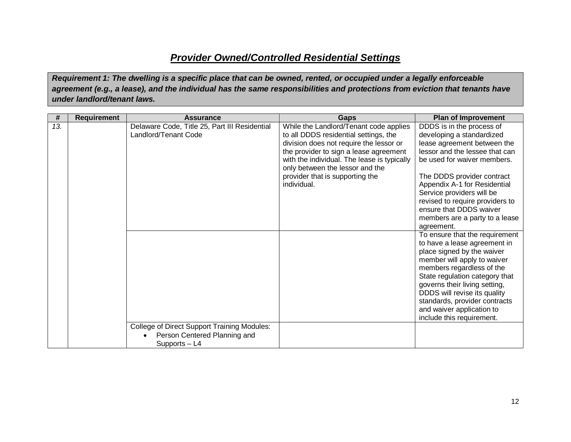## *Provider Owned/Controlled Residential Settings*

*Requirement 1: The dwelling is a specific place that can be owned, rented, or occupied under a legally enforceable agreement (e.g., a lease), and the individual has the same responsibilities and protections from eviction that tenants have under landlord/tenant laws.*

| #   | <b>Requirement</b> | <b>Assurance</b>                                                                                    | <b>Gaps</b>                                                                                                                                                                                                                                                                                              | <b>Plan of Improvement</b>                                                                                                                                                                                                                                                                                                                                                                                                                                                                                                  |
|-----|--------------------|-----------------------------------------------------------------------------------------------------|----------------------------------------------------------------------------------------------------------------------------------------------------------------------------------------------------------------------------------------------------------------------------------------------------------|-----------------------------------------------------------------------------------------------------------------------------------------------------------------------------------------------------------------------------------------------------------------------------------------------------------------------------------------------------------------------------------------------------------------------------------------------------------------------------------------------------------------------------|
| 13. |                    | Delaware Code, Title 25, Part III Residential<br>Landlord/Tenant Code                               | While the Landlord/Tenant code applies<br>to all DDDS residential settings, the<br>division does not require the lessor or<br>the provider to sign a lease agreement<br>with the individual. The lease is typically<br>only between the lessor and the<br>provider that is supporting the<br>individual. | DDDS is in the process of<br>developing a standardized<br>lease agreement between the<br>lessor and the lessee that can<br>be used for waiver members.<br>The DDDS provider contract<br>Appendix A-1 for Residential<br>Service providers will be<br>revised to require providers to<br>ensure that DDDS waiver<br>members are a party to a lease<br>agreement.<br>To ensure that the requirement<br>to have a lease agreement in<br>place signed by the waiver<br>member will apply to waiver<br>members regardless of the |
|     |                    |                                                                                                     |                                                                                                                                                                                                                                                                                                          | State regulation category that<br>governs their living setting,<br>DDDS will revise its quality<br>standards, provider contracts<br>and waiver application to<br>include this requirement.                                                                                                                                                                                                                                                                                                                                  |
|     |                    | <b>College of Direct Support Training Modules:</b><br>Person Centered Planning and<br>Supports - L4 |                                                                                                                                                                                                                                                                                                          |                                                                                                                                                                                                                                                                                                                                                                                                                                                                                                                             |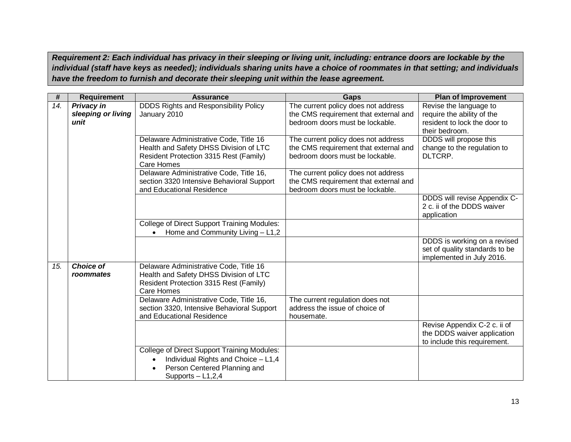*Requirement 2: Each individual has privacy in their sleeping or living unit, including: entrance doors are lockable by the individual (staff have keys as needed); individuals sharing units have a choice of roommates in that setting; and individuals have the freedom to furnish and decorate their sleeping unit within the lease agreement.*

| #   | <b>Requirement</b>                              | <b>Assurance</b>                                                                                                                          | <b>Gaps</b>                                                                                                     | <b>Plan of Improvement</b>                                                                             |
|-----|-------------------------------------------------|-------------------------------------------------------------------------------------------------------------------------------------------|-----------------------------------------------------------------------------------------------------------------|--------------------------------------------------------------------------------------------------------|
| 14. | <b>Privacy in</b><br>sleeping or living<br>unit | <b>DDDS Rights and Responsibility Policy</b><br>January 2010                                                                              | The current policy does not address<br>the CMS requirement that external and<br>bedroom doors must be lockable. | Revise the language to<br>require the ability of the<br>resident to lock the door to<br>their bedroom. |
|     |                                                 | Delaware Administrative Code, Title 16<br>Health and Safety DHSS Division of LTC<br>Resident Protection 3315 Rest (Family)<br>Care Homes  | The current policy does not address<br>the CMS requirement that external and<br>bedroom doors must be lockable. | DDDS will propose this<br>change to the regulation to<br>DLTCRP.                                       |
|     |                                                 | Delaware Administrative Code, Title 16,<br>section 3320 Intensive Behavioral Support<br>and Educational Residence                         | The current policy does not address<br>the CMS requirement that external and<br>bedroom doors must be lockable. |                                                                                                        |
|     |                                                 |                                                                                                                                           |                                                                                                                 | DDDS will revise Appendix C-<br>2 c. ii of the DDDS waiver<br>application                              |
|     |                                                 | <b>College of Direct Support Training Modules:</b><br>Home and Community Living - L1,2                                                    |                                                                                                                 |                                                                                                        |
|     |                                                 |                                                                                                                                           |                                                                                                                 | DDDS is working on a revised<br>set of quality standards to be<br>implemented in July 2016.            |
| 15. | <b>Choice of</b><br>roommates                   | Delaware Administrative Code, Title 16<br>Health and Safety DHSS Division of LTC<br>Resident Protection 3315 Rest (Family)<br>Care Homes  |                                                                                                                 |                                                                                                        |
|     |                                                 | Delaware Administrative Code, Title 16,<br>section 3320, Intensive Behavioral Support<br>and Educational Residence                        | The current regulation does not<br>address the issue of choice of<br>housemate.                                 |                                                                                                        |
|     |                                                 |                                                                                                                                           |                                                                                                                 | Revise Appendix C-2 c. ii of<br>the DDDS waiver application<br>to include this requirement.            |
|     |                                                 | College of Direct Support Training Modules:<br>Individual Rights and Choice - L1,4<br>Person Centered Planning and<br>Supports $-$ L1,2,4 |                                                                                                                 |                                                                                                        |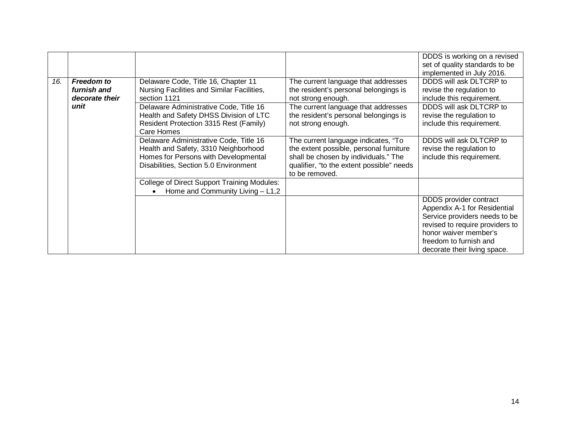|     |                   |                                                    |                                           | DDDS is working on a revised    |
|-----|-------------------|----------------------------------------------------|-------------------------------------------|---------------------------------|
|     |                   |                                                    |                                           | set of quality standards to be  |
|     |                   |                                                    |                                           | implemented in July 2016.       |
| 16. | <b>Freedom to</b> | Delaware Code, Title 16, Chapter 11                | The current language that addresses       | DDDS will ask DLTCRP to         |
|     | furnish and       | Nursing Facilities and Similar Facilities,         | the resident's personal belongings is     | revise the regulation to        |
|     | decorate their    | section 1121                                       | not strong enough.                        | include this requirement.       |
|     | unit              | Delaware Administrative Code, Title 16             | The current language that addresses       | DDDS will ask DLTCRP to         |
|     |                   | Health and Safety DHSS Division of LTC             | the resident's personal belongings is     | revise the regulation to        |
|     |                   | Resident Protection 3315 Rest (Family)             | not strong enough.                        | include this requirement.       |
|     |                   | Care Homes                                         |                                           |                                 |
|     |                   | Delaware Administrative Code, Title 16             | The current language indicates, "To       | DDDS will ask DLTCRP to         |
|     |                   | Health and Safety, 3310 Neighborhood               | the extent possible, personal furniture   | revise the regulation to        |
|     |                   | Homes for Persons with Developmental               | shall be chosen by individuals." The      | include this requirement.       |
|     |                   | Disabilities, Section 5.0 Environment              | qualifier, "to the extent possible" needs |                                 |
|     |                   |                                                    | to be removed.                            |                                 |
|     |                   | <b>College of Direct Support Training Modules:</b> |                                           |                                 |
|     |                   | Home and Community Living $- L1,2$                 |                                           |                                 |
|     |                   |                                                    |                                           | DDDS provider contract          |
|     |                   |                                                    |                                           | Appendix A-1 for Residential    |
|     |                   |                                                    |                                           | Service providers needs to be   |
|     |                   |                                                    |                                           | revised to require providers to |
|     |                   |                                                    |                                           | honor waiver member's           |
|     |                   |                                                    |                                           | freedom to furnish and          |
|     |                   |                                                    |                                           | decorate their living space.    |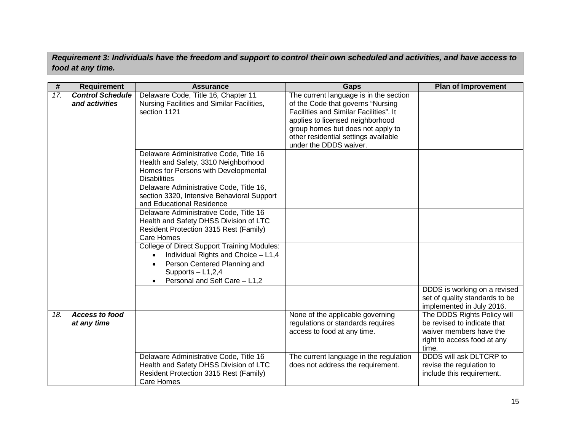*Requirement 3: Individuals have the freedom and support to control their own scheduled and activities, and have access to food at any time.*

| #   | <b>Requirement</b>                        | <b>Assurance</b>                                                                                                                                                                  | Gaps                                                                                                                                                                                                                                                             | <b>Plan of Improvement</b>                                                                                                    |
|-----|-------------------------------------------|-----------------------------------------------------------------------------------------------------------------------------------------------------------------------------------|------------------------------------------------------------------------------------------------------------------------------------------------------------------------------------------------------------------------------------------------------------------|-------------------------------------------------------------------------------------------------------------------------------|
| 17. | <b>Control Schedule</b><br>and activities | Delaware Code, Title 16, Chapter 11<br>Nursing Facilities and Similar Facilities,<br>section 1121                                                                                 | The current language is in the section<br>of the Code that governs "Nursing<br>Facilities and Similar Facilities". It<br>applies to licensed neighborhood<br>group homes but does not apply to<br>other residential settings available<br>under the DDDS waiver. |                                                                                                                               |
|     |                                           | Delaware Administrative Code, Title 16<br>Health and Safety, 3310 Neighborhood<br>Homes for Persons with Developmental<br><b>Disabilities</b>                                     |                                                                                                                                                                                                                                                                  |                                                                                                                               |
|     |                                           | Delaware Administrative Code, Title 16,<br>section 3320, Intensive Behavioral Support<br>and Educational Residence                                                                |                                                                                                                                                                                                                                                                  |                                                                                                                               |
|     |                                           | Delaware Administrative Code, Title 16<br>Health and Safety DHSS Division of LTC<br>Resident Protection 3315 Rest (Family)<br>Care Homes                                          |                                                                                                                                                                                                                                                                  |                                                                                                                               |
|     |                                           | <b>College of Direct Support Training Modules:</b><br>Individual Rights and Choice - L1,4<br>Person Centered Planning and<br>Supports $-$ L1,2,4<br>Personal and Self Care - L1,2 |                                                                                                                                                                                                                                                                  |                                                                                                                               |
|     |                                           |                                                                                                                                                                                   |                                                                                                                                                                                                                                                                  | DDDS is working on a revised<br>set of quality standards to be<br>implemented in July 2016.                                   |
| 18. | <b>Access to food</b><br>at any time      |                                                                                                                                                                                   | None of the applicable governing<br>regulations or standards requires<br>access to food at any time.                                                                                                                                                             | The DDDS Rights Policy will<br>be revised to indicate that<br>waiver members have the<br>right to access food at any<br>time. |
|     |                                           | Delaware Administrative Code, Title 16<br>Health and Safety DHSS Division of LTC<br>Resident Protection 3315 Rest (Family)<br>Care Homes                                          | The current language in the regulation<br>does not address the requirement.                                                                                                                                                                                      | DDDS will ask DLTCRP to<br>revise the regulation to<br>include this requirement.                                              |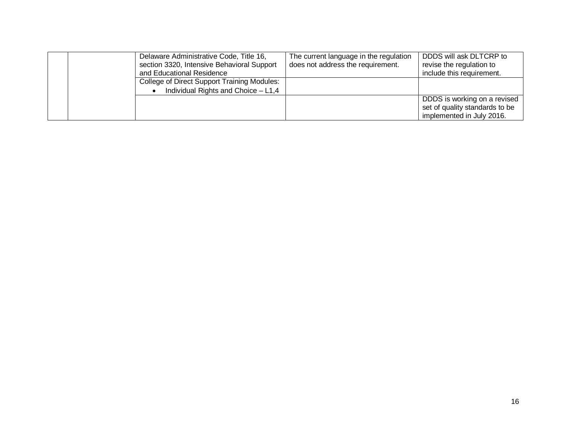|  | Delaware Administrative Code, Title 16,<br>section 3320, Intensive Behavioral Support<br>and Educational Residence | The current language in the regulation<br>does not address the requirement. | DDDS will ask DLTCRP to<br>revise the regulation to<br>include this requirement.            |
|--|--------------------------------------------------------------------------------------------------------------------|-----------------------------------------------------------------------------|---------------------------------------------------------------------------------------------|
|  | College of Direct Support Training Modules:<br>Individual Rights and Choice - L1,4                                 |                                                                             |                                                                                             |
|  |                                                                                                                    |                                                                             | DDDS is working on a revised<br>set of quality standards to be<br>implemented in July 2016. |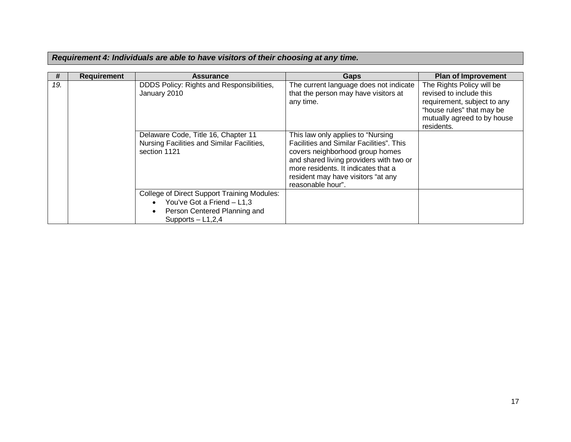|  |  | Requirement 4: Individuals are able to have visitors of their choosing at any time. |  |  |
|--|--|-------------------------------------------------------------------------------------|--|--|
|  |  |                                                                                     |  |  |

| #   | <b>Requirement</b> | <b>Assurance</b>                                                                                  | Gaps                                                                                                                                                                                                                                                           | <b>Plan of Improvement</b>                                                                                                                                    |
|-----|--------------------|---------------------------------------------------------------------------------------------------|----------------------------------------------------------------------------------------------------------------------------------------------------------------------------------------------------------------------------------------------------------------|---------------------------------------------------------------------------------------------------------------------------------------------------------------|
| 19. |                    | DDDS Policy: Rights and Responsibilities,<br>January 2010                                         | The current language does not indicate<br>that the person may have visitors at<br>any time.                                                                                                                                                                    | The Rights Policy will be<br>revised to include this<br>requirement, subject to any<br>"house rules" that may be<br>mutually agreed to by house<br>residents. |
|     |                    | Delaware Code, Title 16, Chapter 11<br>Nursing Facilities and Similar Facilities,<br>section 1121 | This law only applies to "Nursing"<br>Facilities and Similar Facilities". This<br>covers neighborhood group homes<br>and shared living providers with two or<br>more residents. It indicates that a<br>resident may have visitors "at any<br>reasonable hour". |                                                                                                                                                               |
|     |                    | College of Direct Support Training Modules:<br>You've Got a Friend - L1.3<br>$\bullet$            |                                                                                                                                                                                                                                                                |                                                                                                                                                               |
|     |                    | Person Centered Planning and<br>$\bullet$<br>Supports $-$ L1,2,4                                  |                                                                                                                                                                                                                                                                |                                                                                                                                                               |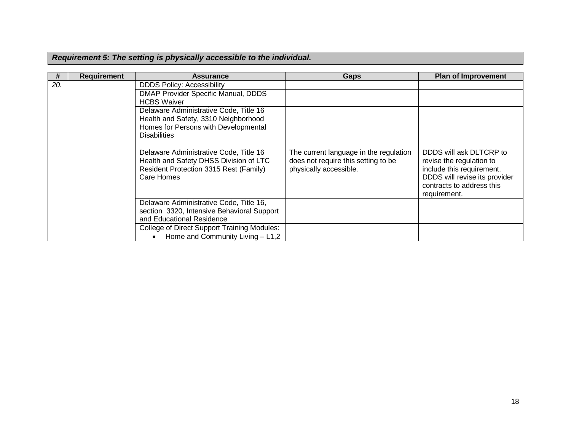| #   | <b>Requirement</b> | <b>Assurance</b>                                                                                                                              | Gaps                                                                                                    | <b>Plan of Improvement</b>                                                                                                                                     |
|-----|--------------------|-----------------------------------------------------------------------------------------------------------------------------------------------|---------------------------------------------------------------------------------------------------------|----------------------------------------------------------------------------------------------------------------------------------------------------------------|
| 20. |                    | <b>DDDS Policy: Accessibility</b>                                                                                                             |                                                                                                         |                                                                                                                                                                |
|     |                    | DMAP Provider Specific Manual, DDDS<br><b>HCBS Waiver</b>                                                                                     |                                                                                                         |                                                                                                                                                                |
|     |                    | Delaware Administrative Code, Title 16<br>Health and Safety, 3310 Neighborhood<br>Homes for Persons with Developmental<br><b>Disabilities</b> |                                                                                                         |                                                                                                                                                                |
|     |                    | Delaware Administrative Code, Title 16<br>Health and Safety DHSS Division of LTC<br>Resident Protection 3315 Rest (Family)<br>Care Homes      | The current language in the regulation<br>does not require this setting to be<br>physically accessible. | DDDS will ask DLTCRP to<br>revise the regulation to<br>include this requirement.<br>DDDS will revise its provider<br>contracts to address this<br>requirement. |
|     |                    | Delaware Administrative Code, Title 16,<br>section 3320, Intensive Behavioral Support<br>and Educational Residence                            |                                                                                                         |                                                                                                                                                                |
|     |                    | College of Direct Support Training Modules:<br>Home and Community Living $- L1,2$                                                             |                                                                                                         |                                                                                                                                                                |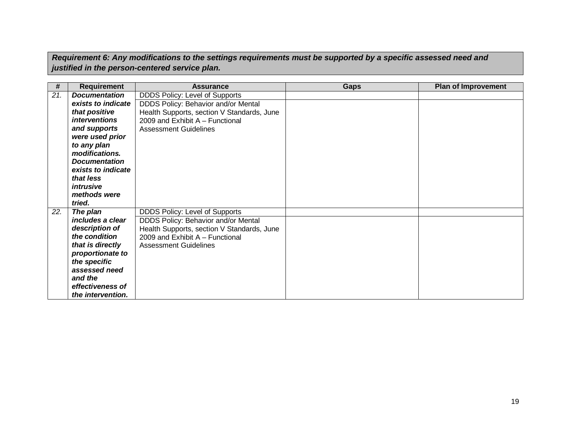*Requirement 6: Any modifications to the settings requirements must be supported by a specific assessed need and justified in the person-centered service plan.*

| #   | <b>Requirement</b>   | <b>Assurance</b>                           | <b>Gaps</b> | <b>Plan of Improvement</b> |
|-----|----------------------|--------------------------------------------|-------------|----------------------------|
| 21. | <b>Documentation</b> | DDDS Policy: Level of Supports             |             |                            |
|     | exists to indicate   | DDDS Policy: Behavior and/or Mental        |             |                            |
|     | that positive        | Health Supports, section V Standards, June |             |                            |
|     | <i>interventions</i> | 2009 and Exhibit A - Functional            |             |                            |
|     | and supports         | <b>Assessment Guidelines</b>               |             |                            |
|     | were used prior      |                                            |             |                            |
|     | to any plan          |                                            |             |                            |
|     | modifications.       |                                            |             |                            |
|     | <b>Documentation</b> |                                            |             |                            |
|     | exists to indicate   |                                            |             |                            |
|     | that less            |                                            |             |                            |
|     | intrusive            |                                            |             |                            |
|     | methods were         |                                            |             |                            |
|     | tried.               |                                            |             |                            |
| 22. | The plan             | DDDS Policy: Level of Supports             |             |                            |
|     | includes a clear     | DDDS Policy: Behavior and/or Mental        |             |                            |
|     | description of       | Health Supports, section V Standards, June |             |                            |
|     | the condition        | 2009 and Exhibit A - Functional            |             |                            |
|     | that is directly     | <b>Assessment Guidelines</b>               |             |                            |
|     | proportionate to     |                                            |             |                            |
|     | the specific         |                                            |             |                            |
|     | assessed need        |                                            |             |                            |
|     | and the              |                                            |             |                            |
|     | effectiveness of     |                                            |             |                            |
|     | the intervention.    |                                            |             |                            |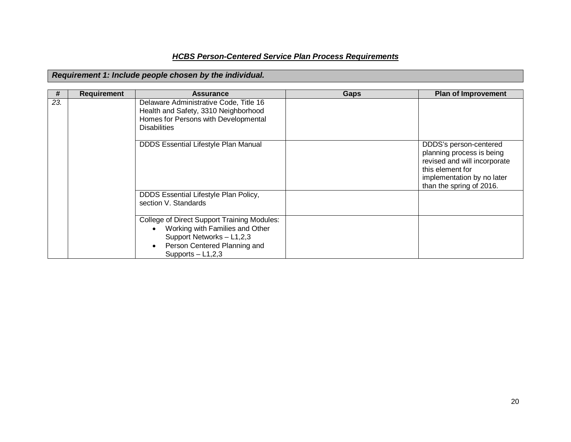### *HCBS Person-Centered Service Plan Process Requirements*

#### *Requirement 1: Include people chosen by the individual.*

| #               | <b>Requirement</b> | <b>Assurance</b>                                                                                                                                                                                    | <b>Gaps</b> | <b>Plan of Improvement</b>                                                                                                                                        |
|-----------------|--------------------|-----------------------------------------------------------------------------------------------------------------------------------------------------------------------------------------------------|-------------|-------------------------------------------------------------------------------------------------------------------------------------------------------------------|
| $\overline{23}$ |                    | Delaware Administrative Code, Title 16<br>Health and Safety, 3310 Neighborhood<br>Homes for Persons with Developmental<br><b>Disabilities</b>                                                       |             |                                                                                                                                                                   |
|                 |                    | <b>DDDS Essential Lifestyle Plan Manual</b>                                                                                                                                                         |             | DDDS's person-centered<br>planning process is being<br>revised and will incorporate<br>this element for<br>implementation by no later<br>than the spring of 2016. |
|                 |                    | DDDS Essential Lifestyle Plan Policy,<br>section V. Standards                                                                                                                                       |             |                                                                                                                                                                   |
|                 |                    | <b>College of Direct Support Training Modules:</b><br>Working with Families and Other<br>$\bullet$<br>Support Networks - L1,2,3<br>Person Centered Planning and<br>$\bullet$<br>Supports $-$ L1,2,3 |             |                                                                                                                                                                   |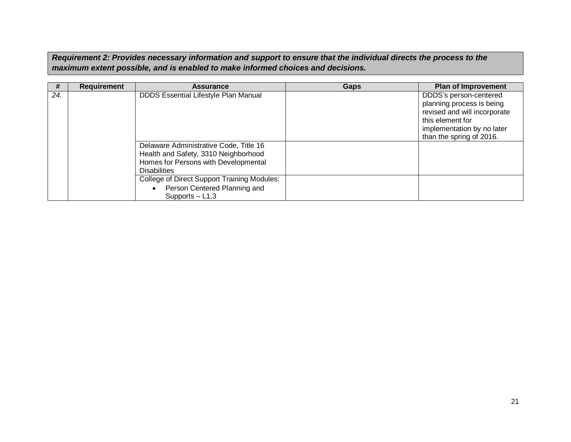*Requirement 2: Provides necessary information and support to ensure that the individual directs the process to the maximum extent possible, and is enabled to make informed choices and decisions.*

| #   | <b>Requirement</b> | <b>Assurance</b>                                                                                                                              | Gaps | <b>Plan of Improvement</b>                                                                                                                                        |
|-----|--------------------|-----------------------------------------------------------------------------------------------------------------------------------------------|------|-------------------------------------------------------------------------------------------------------------------------------------------------------------------|
| 24. |                    | <b>DDDS Essential Lifestyle Plan Manual</b>                                                                                                   |      | DDDS's person-centered<br>planning process is being<br>revised and will incorporate<br>this element for<br>implementation by no later<br>than the spring of 2016. |
|     |                    | Delaware Administrative Code, Title 16<br>Health and Safety, 3310 Neighborhood<br>Homes for Persons with Developmental<br><b>Disabilities</b> |      |                                                                                                                                                                   |
|     |                    | College of Direct Support Training Modules:<br>Person Centered Planning and<br>Supports $-$ L1,3                                              |      |                                                                                                                                                                   |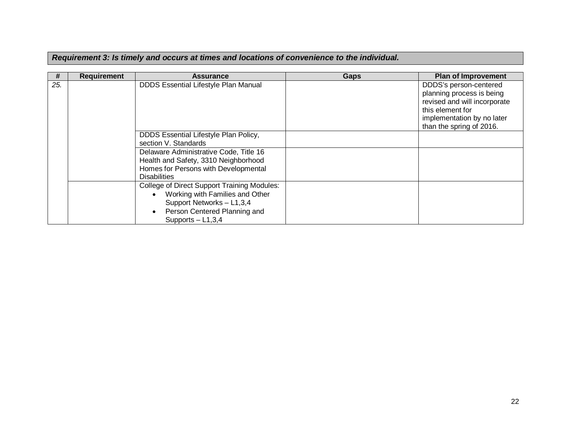### *Requirement 3: Is timely and occurs at times and locations of convenience to the individual.*

| #   | <b>Requirement</b> | <b>Assurance</b>                                                                                                                                                                             | Gaps | <b>Plan of Improvement</b>                                                                                                                                        |
|-----|--------------------|----------------------------------------------------------------------------------------------------------------------------------------------------------------------------------------------|------|-------------------------------------------------------------------------------------------------------------------------------------------------------------------|
| 25. |                    | <b>DDDS Essential Lifestyle Plan Manual</b>                                                                                                                                                  |      | DDDS's person-centered<br>planning process is being<br>revised and will incorporate<br>this element for<br>implementation by no later<br>than the spring of 2016. |
|     |                    | DDDS Essential Lifestyle Plan Policy,<br>section V. Standards                                                                                                                                |      |                                                                                                                                                                   |
|     |                    | Delaware Administrative Code, Title 16<br>Health and Safety, 3310 Neighborhood<br>Homes for Persons with Developmental<br><b>Disabilities</b>                                                |      |                                                                                                                                                                   |
|     |                    | College of Direct Support Training Modules:<br>Working with Families and Other<br>$\bullet$<br>Support Networks - L1,3,4<br>Person Centered Planning and<br>$\bullet$<br>Supports $-$ L1,3,4 |      |                                                                                                                                                                   |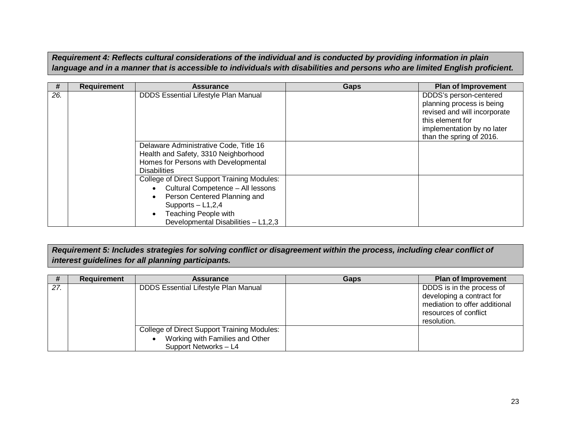*Requirement 4: Reflects cultural considerations of the individual and is conducted by providing information in plain language and in a manner that is accessible to individuals with disabilities and persons who are limited English proficient.*

| #   | <b>Requirement</b> | <b>Assurance</b>                                                                                                                                                                                              | Gaps | <b>Plan of Improvement</b>                                                                                                                                        |
|-----|--------------------|---------------------------------------------------------------------------------------------------------------------------------------------------------------------------------------------------------------|------|-------------------------------------------------------------------------------------------------------------------------------------------------------------------|
| 26. |                    | <b>DDDS Essential Lifestyle Plan Manual</b>                                                                                                                                                                   |      | DDDS's person-centered<br>planning process is being<br>revised and will incorporate<br>this element for<br>implementation by no later<br>than the spring of 2016. |
|     |                    | Delaware Administrative Code, Title 16<br>Health and Safety, 3310 Neighborhood<br>Homes for Persons with Developmental<br><b>Disabilities</b>                                                                 |      |                                                                                                                                                                   |
|     |                    | <b>College of Direct Support Training Modules:</b><br>Cultural Competence - All lessons<br>Person Centered Planning and<br>Supports $-$ L1,2,4<br>Teaching People with<br>Developmental Disabilities - L1,2,3 |      |                                                                                                                                                                   |

*Requirement 5: Includes strategies for solving conflict or disagreement within the process, including clear conflict of interest guidelines for all planning participants.*

| #   | <b>Requirement</b> | <b>Assurance</b>                                                                                        | Gaps | <b>Plan of Improvement</b>                                                                                                      |
|-----|--------------------|---------------------------------------------------------------------------------------------------------|------|---------------------------------------------------------------------------------------------------------------------------------|
| 27. |                    | <b>DDDS Essential Lifestyle Plan Manual</b>                                                             |      | DDDS is in the process of<br>developing a contract for<br>mediation to offer additional<br>resources of conflict<br>resolution. |
|     |                    | College of Direct Support Training Modules:<br>Working with Families and Other<br>Support Networks - L4 |      |                                                                                                                                 |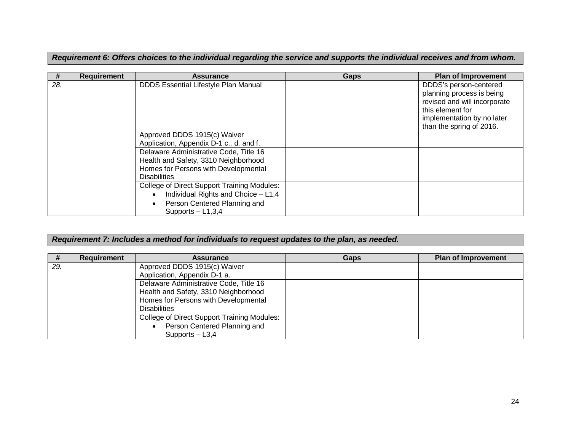*Requirement 6: Offers choices to the individual regarding the service and supports the individual receives and from whom.*

| #   | <b>Requirement</b> | <b>Assurance</b>                                                                                                                                              | <b>Gaps</b> | <b>Plan of Improvement</b>                                                                                                                                        |
|-----|--------------------|---------------------------------------------------------------------------------------------------------------------------------------------------------------|-------------|-------------------------------------------------------------------------------------------------------------------------------------------------------------------|
| 28. |                    | <b>DDDS Essential Lifestyle Plan Manual</b>                                                                                                                   |             | DDDS's person-centered<br>planning process is being<br>revised and will incorporate<br>this element for<br>implementation by no later<br>than the spring of 2016. |
|     |                    | Approved DDDS 1915(c) Waiver<br>Application, Appendix D-1 c., d. and f.                                                                                       |             |                                                                                                                                                                   |
|     |                    | Delaware Administrative Code, Title 16<br>Health and Safety, 3310 Neighborhood<br>Homes for Persons with Developmental<br><b>Disabilities</b>                 |             |                                                                                                                                                                   |
|     |                    | <b>College of Direct Support Training Modules:</b><br>Individual Rights and Choice - L1,4<br>$\bullet$<br>Person Centered Planning and<br>Supports $-$ L1,3,4 |             |                                                                                                                                                                   |

### *Requirement 7: Includes a method for individuals to request updates to the plan, as needed.*

| #   | Requirement | <b>Assurance</b>                                   | Gaps | <b>Plan of Improvement</b> |
|-----|-------------|----------------------------------------------------|------|----------------------------|
| 29. |             | Approved DDDS 1915(c) Waiver                       |      |                            |
|     |             | Application, Appendix D-1 a.                       |      |                            |
|     |             | Delaware Administrative Code, Title 16             |      |                            |
|     |             | Health and Safety, 3310 Neighborhood               |      |                            |
|     |             | Homes for Persons with Developmental               |      |                            |
|     |             | <b>Disabilities</b>                                |      |                            |
|     |             | <b>College of Direct Support Training Modules:</b> |      |                            |
|     |             | Person Centered Planning and                       |      |                            |
|     |             | Supports $-$ L3,4                                  |      |                            |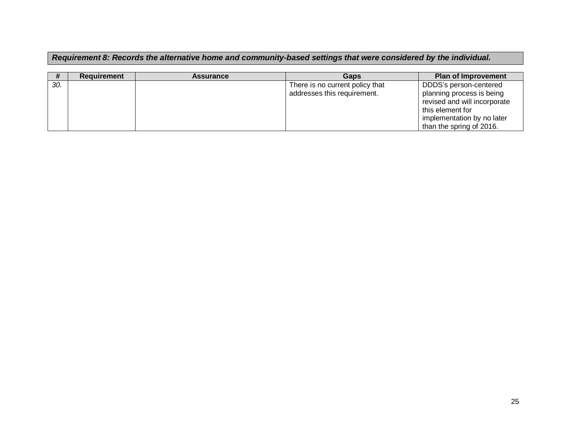### *Requirement 8: Records the alternative home and community-based settings that were considered by the individual.*

|     | <b>Requirement</b> | <b>Assurance</b> | Gaps                                                           | <b>Plan of Improvement</b>                                                                                                            |
|-----|--------------------|------------------|----------------------------------------------------------------|---------------------------------------------------------------------------------------------------------------------------------------|
| 30. |                    |                  | There is no current policy that<br>addresses this requirement. | DDDS's person-centered<br>planning process is being<br>revised and will incorporate<br>this element for<br>implementation by no later |
|     |                    |                  |                                                                | than the spring of 2016.                                                                                                              |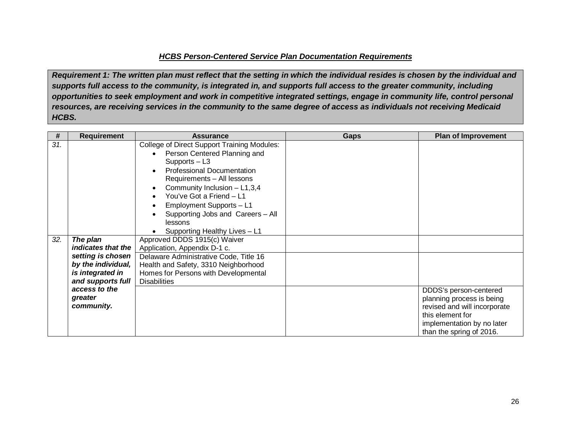#### *HCBS Person-Centered Service Plan Documentation Requirements*

*Requirement 1: The written plan must reflect that the setting in which the individual resides is chosen by the individual and supports full access to the community, is integrated in, and supports full access to the greater community, including opportunities to seek employment and work in competitive integrated settings, engage in community life, control personal resources, are receiving services in the community to the same degree of access as individuals not receiving Medicaid HCBS.*

| #   | <b>Requirement</b> | <b>Assurance</b>                                   | <b>Gaps</b> | <b>Plan of Improvement</b>   |
|-----|--------------------|----------------------------------------------------|-------------|------------------------------|
| 31. |                    | <b>College of Direct Support Training Modules:</b> |             |                              |
|     |                    | Person Centered Planning and                       |             |                              |
|     |                    | $Supports - L3$                                    |             |                              |
|     |                    | <b>Professional Documentation</b><br>$\bullet$     |             |                              |
|     |                    | Requirements - All lessons                         |             |                              |
|     |                    | Community Inclusion $-$ L1,3,4<br>$\bullet$        |             |                              |
|     |                    | You've Got a Friend - L1                           |             |                              |
|     |                    | Employment Supports - L1<br>$\bullet$              |             |                              |
|     |                    | Supporting Jobs and Careers - All                  |             |                              |
|     |                    | lessons                                            |             |                              |
|     |                    | Supporting Healthy Lives - L1                      |             |                              |
| 32. | The plan           | Approved DDDS 1915(c) Waiver                       |             |                              |
|     | indicates that the | Application, Appendix D-1 c.                       |             |                              |
|     | setting is chosen  | Delaware Administrative Code, Title 16             |             |                              |
|     | by the individual, | Health and Safety, 3310 Neighborhood               |             |                              |
|     | is integrated in   | Homes for Persons with Developmental               |             |                              |
|     | and supports full  | <b>Disabilities</b>                                |             |                              |
|     | access to the      |                                                    |             | DDDS's person-centered       |
|     | greater            |                                                    |             | planning process is being    |
|     | community.         |                                                    |             | revised and will incorporate |
|     |                    |                                                    |             | this element for             |
|     |                    |                                                    |             | implementation by no later   |
|     |                    |                                                    |             | than the spring of 2016.     |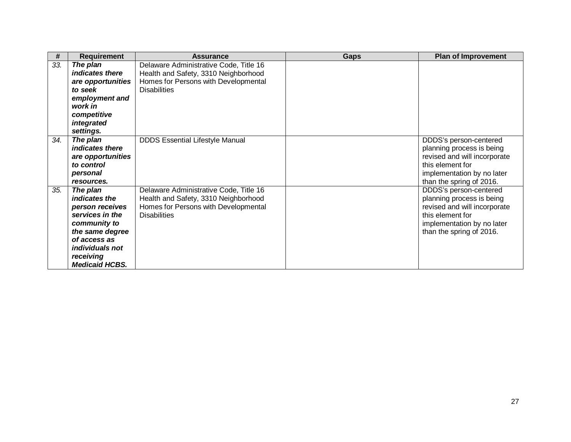| #   | <b>Requirement</b>                                                                                                                                                                 | <b>Assurance</b>                                                                                                                              | <b>Gaps</b> | <b>Plan of Improvement</b>                                                                                                                                               |
|-----|------------------------------------------------------------------------------------------------------------------------------------------------------------------------------------|-----------------------------------------------------------------------------------------------------------------------------------------------|-------------|--------------------------------------------------------------------------------------------------------------------------------------------------------------------------|
| 33. | The plan<br>indicates there<br>are opportunities<br>to seek<br>employment and<br>work in<br>competitive<br>integrated<br>settings.                                                 | Delaware Administrative Code, Title 16<br>Health and Safety, 3310 Neighborhood<br>Homes for Persons with Developmental<br><b>Disabilities</b> |             |                                                                                                                                                                          |
| 34. | The plan<br>indicates there<br>are opportunities<br>to control<br>personal<br>resources.                                                                                           | <b>DDDS Essential Lifestyle Manual</b>                                                                                                        |             | DDDS's person-centered<br>planning process is being<br>revised and will incorporate<br>this element for<br>implementation by no later<br>than the spring of 2016.        |
| 35. | The plan<br>indicates the<br>person receives<br>services in the<br>community to<br>the same degree<br>of access as<br><i>individuals not</i><br>receiving<br><b>Medicaid HCBS.</b> | Delaware Administrative Code, Title 16<br>Health and Safety, 3310 Neighborhood<br>Homes for Persons with Developmental<br><b>Disabilities</b> |             | <b>DDDS's person-centered</b><br>planning process is being<br>revised and will incorporate<br>this element for<br>implementation by no later<br>than the spring of 2016. |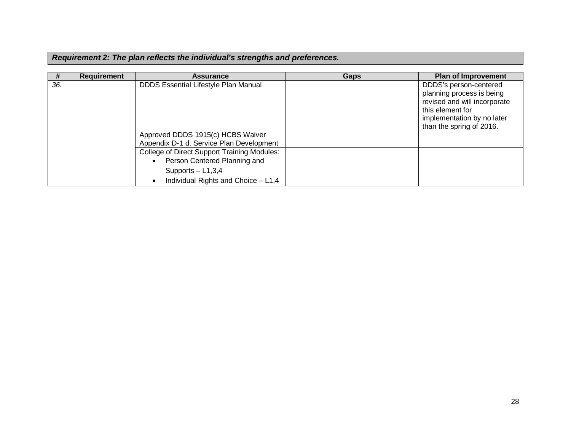|  |  |  |  | Requirement 2: The plan reflects the individual's strengths and preferences. |  |  |  |
|--|--|--|--|------------------------------------------------------------------------------|--|--|--|
|--|--|--|--|------------------------------------------------------------------------------|--|--|--|

| #   | <b>Requirement</b> | <b>Assurance</b>                                                                                                                                                                                                                               | Gaps | <b>Plan of Improvement</b>                                                                                                                                        |
|-----|--------------------|------------------------------------------------------------------------------------------------------------------------------------------------------------------------------------------------------------------------------------------------|------|-------------------------------------------------------------------------------------------------------------------------------------------------------------------|
| 36. |                    | <b>DDDS Essential Lifestyle Plan Manual</b>                                                                                                                                                                                                    |      | DDDS's person-centered<br>planning process is being<br>revised and will incorporate<br>this element for<br>implementation by no later<br>than the spring of 2016. |
|     |                    | Approved DDDS 1915(c) HCBS Waiver<br>Appendix D-1 d. Service Plan Development<br><b>College of Direct Support Training Modules:</b><br>Person Centered Planning and<br>Supports $-$ L1,3,4<br>Individual Rights and Choice - L1,4<br>$\bullet$ |      |                                                                                                                                                                   |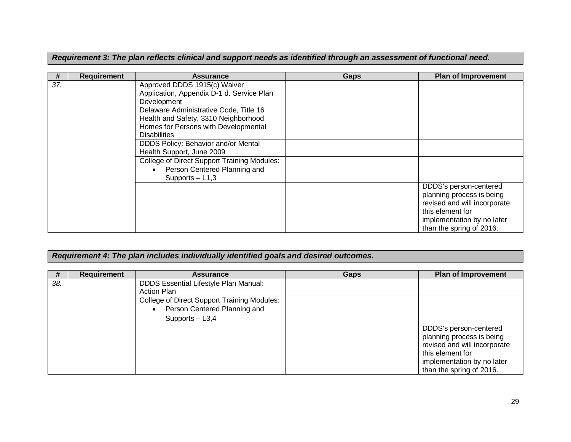|  | Requirement 3: The plan reflects clinical and support needs as identified through an assessment of functional need. |
|--|---------------------------------------------------------------------------------------------------------------------|
|  |                                                                                                                     |

| #   | <b>Requirement</b> | <b>Assurance</b>                                                                                                                              | Gaps | <b>Plan of Improvement</b>                                                                                                                                        |
|-----|--------------------|-----------------------------------------------------------------------------------------------------------------------------------------------|------|-------------------------------------------------------------------------------------------------------------------------------------------------------------------|
| 37. |                    | Approved DDDS 1915(c) Waiver<br>Application, Appendix D-1 d. Service Plan<br>Development                                                      |      |                                                                                                                                                                   |
|     |                    | Delaware Administrative Code, Title 16<br>Health and Safety, 3310 Neighborhood<br>Homes for Persons with Developmental<br><b>Disabilities</b> |      |                                                                                                                                                                   |
|     |                    | DDDS Policy: Behavior and/or Mental<br>Health Support, June 2009                                                                              |      |                                                                                                                                                                   |
|     |                    | <b>College of Direct Support Training Modules:</b><br>Person Centered Planning and<br>Supports $-$ L1,3                                       |      |                                                                                                                                                                   |
|     |                    |                                                                                                                                               |      | DDDS's person-centered<br>planning process is being<br>revised and will incorporate<br>this element for<br>implementation by no later<br>than the spring of 2016. |

### *Requirement 4: The plan includes individually identified goals and desired outcomes.*

| #   | <b>Requirement</b> | <b>Assurance</b>                             | <b>Gaps</b> | <b>Plan of Improvement</b>   |
|-----|--------------------|----------------------------------------------|-------------|------------------------------|
| 38. |                    | <b>DDDS Essential Lifestyle Plan Manual:</b> |             |                              |
|     |                    | <b>Action Plan</b>                           |             |                              |
|     |                    | College of Direct Support Training Modules:  |             |                              |
|     |                    | Person Centered Planning and                 |             |                              |
|     |                    | Supports $-$ L3,4                            |             |                              |
|     |                    |                                              |             | DDDS's person-centered       |
|     |                    |                                              |             | planning process is being    |
|     |                    |                                              |             | revised and will incorporate |
|     |                    |                                              |             | this element for             |
|     |                    |                                              |             | implementation by no later   |
|     |                    |                                              |             | than the spring of 2016.     |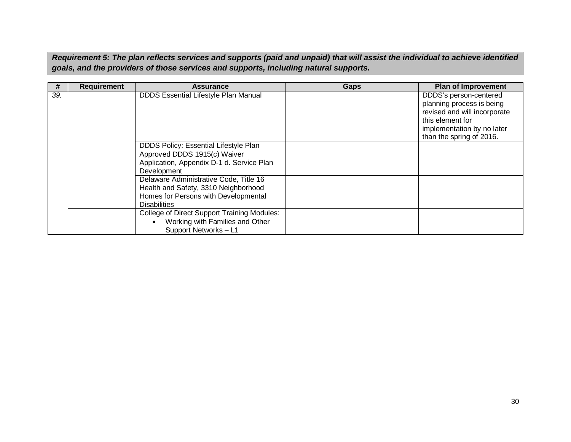*Requirement 5: The plan reflects services and supports (paid and unpaid) that will assist the individual to achieve identified goals, and the providers of those services and supports, including natural supports.*

| #   | <b>Requirement</b> | <b>Assurance</b>                                                                                                                              | Gaps | <b>Plan of Improvement</b>                                                                                                                                        |
|-----|--------------------|-----------------------------------------------------------------------------------------------------------------------------------------------|------|-------------------------------------------------------------------------------------------------------------------------------------------------------------------|
| 39. |                    | <b>DDDS Essential Lifestyle Plan Manual</b>                                                                                                   |      | DDDS's person-centered<br>planning process is being<br>revised and will incorporate<br>this element for<br>implementation by no later<br>than the spring of 2016. |
|     |                    | <b>DDDS Policy: Essential Lifestyle Plan</b>                                                                                                  |      |                                                                                                                                                                   |
|     |                    | Approved DDDS 1915(c) Waiver                                                                                                                  |      |                                                                                                                                                                   |
|     |                    | Application, Appendix D-1 d. Service Plan<br>Development                                                                                      |      |                                                                                                                                                                   |
|     |                    | Delaware Administrative Code, Title 16<br>Health and Safety, 3310 Neighborhood<br>Homes for Persons with Developmental<br><b>Disabilities</b> |      |                                                                                                                                                                   |
|     |                    | <b>College of Direct Support Training Modules:</b><br>Working with Families and Other<br>Support Networks-L1                                  |      |                                                                                                                                                                   |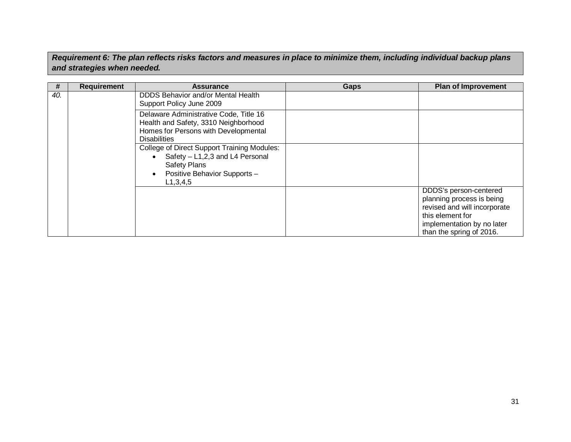*Requirement 6: The plan reflects risks factors and measures in place to minimize them, including individual backup plans and strategies when needed.*

| #   | <b>Requirement</b> | <b>Assurance</b>                                                                                                                                            | Gaps | <b>Plan of Improvement</b>                                                                                                                                        |
|-----|--------------------|-------------------------------------------------------------------------------------------------------------------------------------------------------------|------|-------------------------------------------------------------------------------------------------------------------------------------------------------------------|
| 40. |                    | <b>DDDS Behavior and/or Mental Health</b><br>Support Policy June 2009                                                                                       |      |                                                                                                                                                                   |
|     |                    | Delaware Administrative Code, Title 16<br>Health and Safety, 3310 Neighborhood<br>Homes for Persons with Developmental<br><b>Disabilities</b>               |      |                                                                                                                                                                   |
|     |                    | <b>College of Direct Support Training Modules:</b><br>Safety - L1,2,3 and L4 Personal<br><b>Safety Plans</b><br>Positive Behavior Supports -<br>L1, 3, 4, 5 |      |                                                                                                                                                                   |
|     |                    |                                                                                                                                                             |      | DDDS's person-centered<br>planning process is being<br>revised and will incorporate<br>this element for<br>implementation by no later<br>than the spring of 2016. |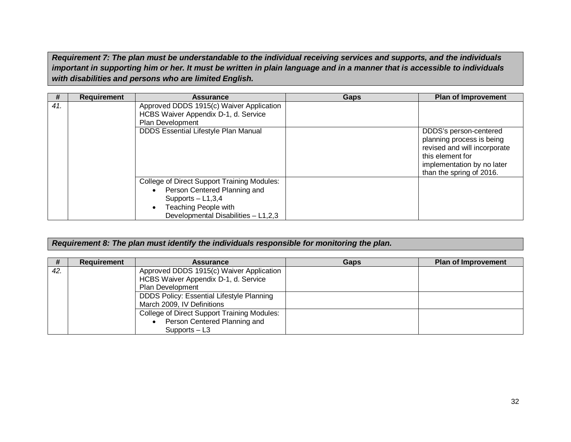*Requirement 7: The plan must be understandable to the individual receiving services and supports, and the individuals important in supporting him or her. It must be written in plain language and in a manner that is accessible to individuals with disabilities and persons who are limited English.*

| #   | <b>Requirement</b> | <b>Assurance</b>                                                                                                                                                         |      | <b>Plan of Improvement</b>                                                                                                                                        |
|-----|--------------------|--------------------------------------------------------------------------------------------------------------------------------------------------------------------------|------|-------------------------------------------------------------------------------------------------------------------------------------------------------------------|
|     |                    |                                                                                                                                                                          | Gaps |                                                                                                                                                                   |
| 41. |                    | Approved DDDS 1915(c) Waiver Application<br>HCBS Waiver Appendix D-1, d. Service<br>Plan Development                                                                     |      |                                                                                                                                                                   |
|     |                    | <b>DDDS Essential Lifestyle Plan Manual</b>                                                                                                                              |      | DDDS's person-centered<br>planning process is being<br>revised and will incorporate<br>this element for<br>implementation by no later<br>than the spring of 2016. |
|     |                    | <b>College of Direct Support Training Modules:</b><br>Person Centered Planning and<br>Supports $-$ L1,3,4<br>Teaching People with<br>Developmental Disabilities - L1,2,3 |      |                                                                                                                                                                   |

#### *Requirement 8: The plan must identify the individuals responsible for monitoring the plan.*

| #   | <b>Requirement</b> | <b>Assurance</b>                                                                                     | Gaps | <b>Plan of Improvement</b> |
|-----|--------------------|------------------------------------------------------------------------------------------------------|------|----------------------------|
| 42. |                    | Approved DDDS 1915(c) Waiver Application<br>HCBS Waiver Appendix D-1, d. Service<br>Plan Development |      |                            |
|     |                    | DDDS Policy: Essential Lifestyle Planning<br>March 2009, IV Definitions                              |      |                            |
|     |                    | College of Direct Support Training Modules:<br>Person Centered Planning and<br>Supports $-$ L3       |      |                            |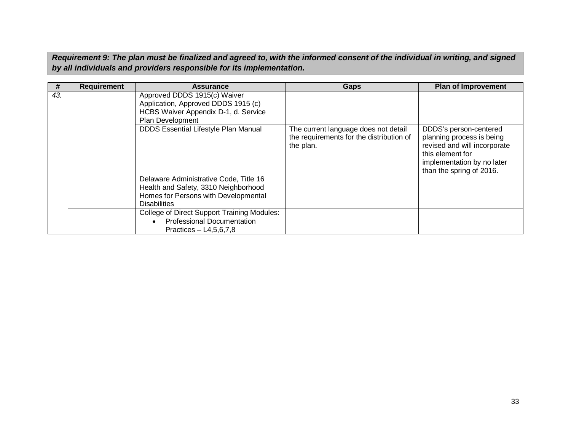*Requirement 9: The plan must be finalized and agreed to, with the informed consent of the individual in writing, and signed by all individuals and providers responsible for its implementation.*

| #   | <b>Requirement</b> | <b>Assurance</b>                                                                                                                              | Gaps                                                                                          | <b>Plan of Improvement</b>                                                                                                                                        |
|-----|--------------------|-----------------------------------------------------------------------------------------------------------------------------------------------|-----------------------------------------------------------------------------------------------|-------------------------------------------------------------------------------------------------------------------------------------------------------------------|
| 43. |                    | Approved DDDS 1915(c) Waiver<br>Application, Approved DDDS 1915 (c)<br>HCBS Waiver Appendix D-1, d. Service<br>Plan Development               |                                                                                               |                                                                                                                                                                   |
|     |                    | <b>DDDS Essential Lifestyle Plan Manual</b>                                                                                                   | The current language does not detail<br>the requirements for the distribution of<br>the plan. | DDDS's person-centered<br>planning process is being<br>revised and will incorporate<br>this element for<br>implementation by no later<br>than the spring of 2016. |
|     |                    | Delaware Administrative Code, Title 16<br>Health and Safety, 3310 Neighborhood<br>Homes for Persons with Developmental<br><b>Disabilities</b> |                                                                                               |                                                                                                                                                                   |
|     |                    | <b>College of Direct Support Training Modules:</b><br><b>Professional Documentation</b><br>Practices $-$ L4,5,6,7,8                           |                                                                                               |                                                                                                                                                                   |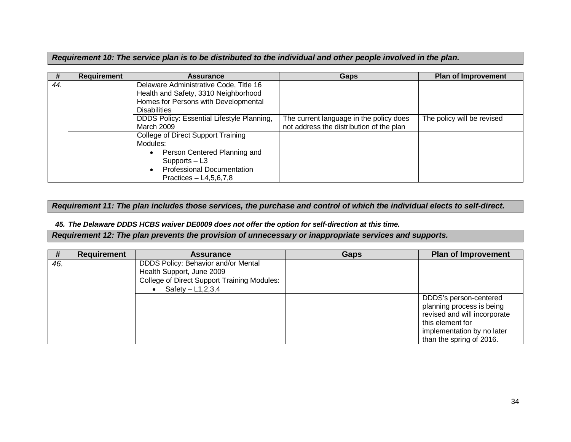*Requirement 10: The service plan is to be distributed to the individual and other people involved in the plan.*

| #   | Requirement | <b>Assurance</b>                           | Gaps                                     | Plan of Improvement        |
|-----|-------------|--------------------------------------------|------------------------------------------|----------------------------|
| 44. |             | Delaware Administrative Code, Title 16     |                                          |                            |
|     |             | Health and Safety, 3310 Neighborhood       |                                          |                            |
|     |             | Homes for Persons with Developmental       |                                          |                            |
|     |             | <b>Disabilities</b>                        |                                          |                            |
|     |             | DDDS Policy: Essential Lifestyle Planning, | The current language in the policy does  | The policy will be revised |
|     |             | <b>March 2009</b>                          | not address the distribution of the plan |                            |
|     |             | <b>College of Direct Support Training</b>  |                                          |                            |
|     |             | Modules:                                   |                                          |                            |
|     |             | Person Centered Planning and               |                                          |                            |
|     |             | Supports $-$ L3                            |                                          |                            |
|     |             | <b>Professional Documentation</b>          |                                          |                            |
|     |             | Practices $-$ L4,5,6,7,8                   |                                          |                            |

*Requirement 11: The plan includes those services, the purchase and control of which the individual elects to self-direct.*

*45. The Delaware DDDS HCBS waiver DE0009 does not offer the option for self-direction at this time.*

*Requirement 12: The plan prevents the provision of unnecessary or inappropriate services and supports.*

| #   | <b>Requirement</b> | <b>Assurance</b>                                                  | Gaps | <b>Plan of Improvement</b>                                                                                                                                        |
|-----|--------------------|-------------------------------------------------------------------|------|-------------------------------------------------------------------------------------------------------------------------------------------------------------------|
| 46. |                    | DDDS Policy: Behavior and/or Mental<br>Health Support, June 2009  |      |                                                                                                                                                                   |
|     |                    | College of Direct Support Training Modules:<br>Safety $-L1,2,3,4$ |      |                                                                                                                                                                   |
|     |                    |                                                                   |      | DDDS's person-centered<br>planning process is being<br>revised and will incorporate<br>this element for<br>implementation by no later<br>than the spring of 2016. |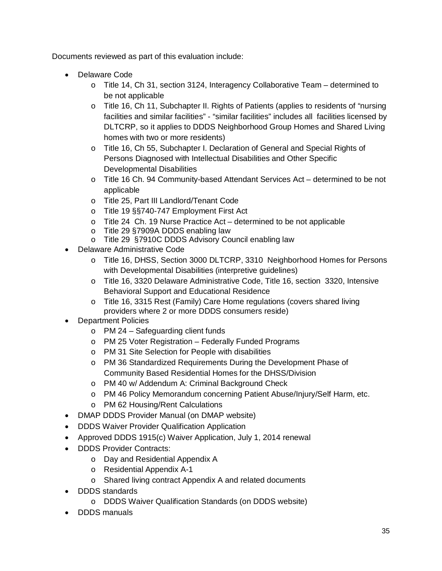Documents reviewed as part of this evaluation include:

- · Delaware Code
	- o Title 14, Ch 31, section 3124, Interagency Collaborative Team determined to be not applicable
	- o Title 16, Ch 11, Subchapter II. Rights of Patients (applies to residents of "nursing facilities and similar facilities" - "similar facilities" includes all facilities licensed by DLTCRP, so it applies to DDDS Neighborhood Group Homes and Shared Living homes with two or more residents)
	- o Title 16, Ch 55, Subchapter I. Declaration of General and Special Rights of Persons Diagnosed with Intellectual Disabilities and Other Specific Developmental Disabilities
	- o Title 16 Ch. 94 Community-based Attendant Services Act determined to be not applicable
	- o Title 25, Part III Landlord/Tenant Code
	- o Title 19 §§740-747 Employment First Act
	- o Title 24 Ch. 19 Nurse Practice Act determined to be not applicable
	- o Title 29 §7909A DDDS enabling law
	- o Title 29 §7910C DDDS Advisory Council enabling law
- · Delaware Administrative Code
	- o Title 16, DHSS, Section 3000 DLTCRP, 3310 Neighborhood Homes for Persons with Developmental Disabilities (interpretive guidelines)
	- o Title 16, 3320 Delaware Administrative Code, Title 16, section 3320, Intensive Behavioral Support and Educational Residence
	- o Title 16, 3315 Rest (Family) Care Home regulations (covers shared living providers where 2 or more DDDS consumers reside)
- **Department Policies** 
	- o PM 24 Safeguarding client funds
	- o PM 25 Voter Registration Federally Funded Programs
	- o PM 31 Site Selection for People with disabilities
	- o PM 36 Standardized Requirements During the Development Phase of Community Based Residential Homes for the DHSS/Division
	- o PM 40 w/ Addendum A: Criminal Background Check
	- o PM 46 Policy Memorandum concerning Patient Abuse/Injury/Self Harm, etc.
	- o PM 62 Housing/Rent Calculations
- · DMAP DDDS Provider Manual (on DMAP website)
- · DDDS Waiver Provider Qualification Application
- · Approved DDDS 1915(c) Waiver Application, July 1, 2014 renewal
- · DDDS Provider Contracts:
	- o Day and Residential Appendix A
	- o Residential Appendix A-1
	- o Shared living contract Appendix A and related documents
- · DDDS standards
	- o DDDS Waiver Qualification Standards (on DDDS website)
- · DDDS manuals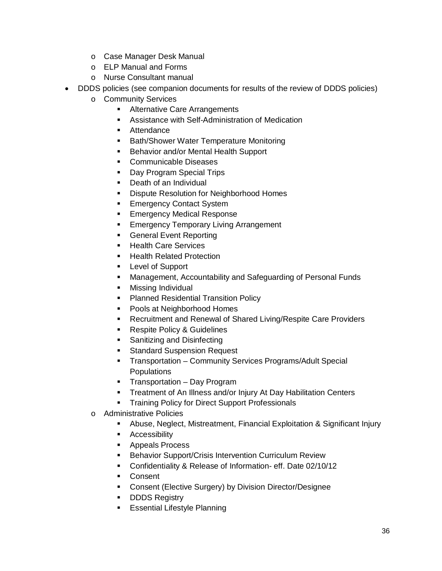- o Case Manager Desk Manual
- o ELP Manual and Forms
- o Nurse Consultant manual
- · DDDS policies (see companion documents for results of the review of DDDS policies)
	- o Community Services
		- **EXEC** Alternative Care Arrangements
		- Assistance with Self-Administration of Medication
		- Attendance
		- **Bath/Shower Water Temperature Monitoring**
		- **Behavior and/or Mental Health Support**
		- Communicable Diseases
		- Day Program Special Trips
		- Death of an Individual
		- **Dispute Resolution for Neighborhood Homes**
		- Emergency Contact System
		- **Emergency Medical Response**
		- **Emergency Temporary Living Arrangement**
		- General Event Reporting
		- Health Care Services
		- Health Related Protection
		- Level of Support
		- Management, Accountability and Safeguarding of Personal Funds
		- **•** Missing Individual
		- **Planned Residential Transition Policy**
		- Pools at Neighborhood Homes
		- Recruitment and Renewal of Shared Living/Respite Care Providers
		- Respite Policy & Guidelines
		- Sanitizing and Disinfecting
		- § Standard Suspension Request
		- § Transportation Community Services Programs/Adult Special **Populations**
		- Transportation Day Program
		- **Treatment of An Illness and/or Injury At Day Habilitation Centers**
		- **Training Policy for Direct Support Professionals**
	- o Administrative Policies
		- § Abuse, Neglect, Mistreatment, Financial Exploitation & Significant Injury
		- Accessibility
		- Appeals Process
		- Behavior Support/Crisis Intervention Curriculum Review
		- § Confidentiality & Release of Information- eff. Date 02/10/12
		- Consent
		- Consent (Elective Surgery) by Division Director/Designee
		- DDDS Registry
		- **E** Essential Lifestyle Planning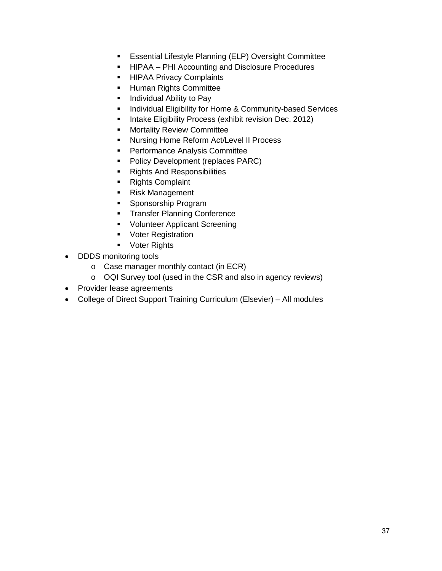- **Essential Lifestyle Planning (ELP) Oversight Committee**
- HIPAA PHI Accounting and Disclosure Procedures
- **E** HIPAA Privacy Complaints
- Human Rights Committee
- Individual Ability to Pay
- **Individual Eligibility for Home & Community-based Services**
- Intake Eligibility Process (exhibit revision Dec. 2012)
- **■** Mortality Review Committee
- Nursing Home Reform Act/Level II Process
- Performance Analysis Committee
- Policy Development (replaces PARC)
- Rights And Responsibilities
- Rights Complaint
- Risk Management
- Sponsorship Program
- **Transfer Planning Conference**
- § Volunteer Applicant Screening
- Voter Registration
- Voter Rights
- · DDDS monitoring tools
	- o Case manager monthly contact (in ECR)
	- o OQI Survey tool (used in the CSR and also in agency reviews)
- · Provider lease agreements
- · College of Direct Support Training Curriculum (Elsevier) All modules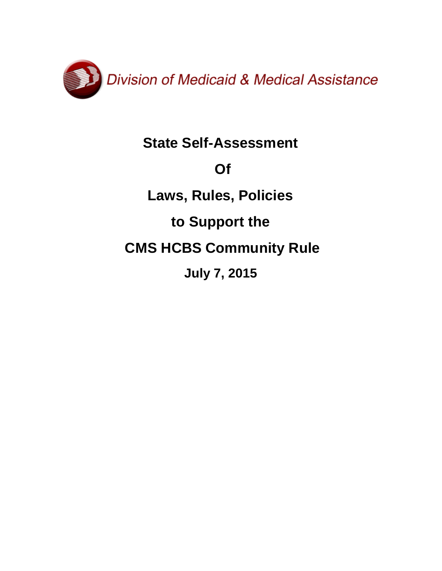

## **State Self-Assessment**

## **Of**

## **Laws, Rules, Policies**

## **to Support the**

## **CMS HCBS Community Rule**

**July 7, 2015**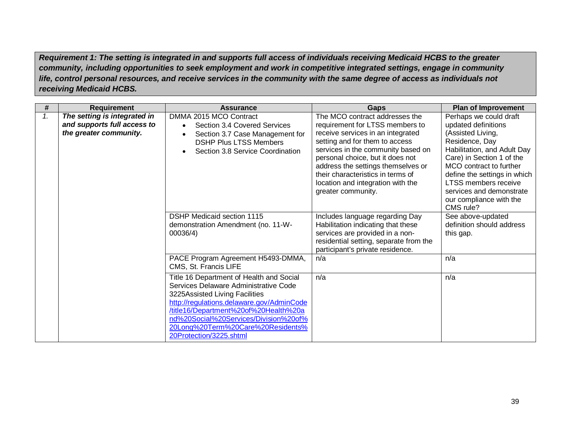*Requirement 1: The setting is integrated in and supports full access of individuals receiving Medicaid HCBS to the greater community, including opportunities to seek employment and work in competitive integrated settings, engage in community life, control personal resources, and receive services in the community with the same degree of access as individuals not receiving Medicaid HCBS.*

| #  | <b>Requirement</b>                                                                    | <b>Assurance</b>                                                                                                                                                                                                                                                                                                   | Gaps                                                                                                                                                                                                                                                                                                                                                     | <b>Plan of Improvement</b>                                                                                                                                                                                                                                                                              |
|----|---------------------------------------------------------------------------------------|--------------------------------------------------------------------------------------------------------------------------------------------------------------------------------------------------------------------------------------------------------------------------------------------------------------------|----------------------------------------------------------------------------------------------------------------------------------------------------------------------------------------------------------------------------------------------------------------------------------------------------------------------------------------------------------|---------------------------------------------------------------------------------------------------------------------------------------------------------------------------------------------------------------------------------------------------------------------------------------------------------|
| 1. | The setting is integrated in<br>and supports full access to<br>the greater community. | DMMA 2015 MCO Contract<br>Section 3.4 Covered Services<br>Section 3.7 Case Management for<br><b>DSHP Plus LTSS Members</b><br>Section 3.8 Service Coordination                                                                                                                                                     | The MCO contract addresses the<br>requirement for LTSS members to<br>receive services in an integrated<br>setting and for them to access<br>services in the community based on<br>personal choice, but it does not<br>address the settings themselves or<br>their characteristics in terms of<br>location and integration with the<br>greater community. | Perhaps we could draft<br>updated definitions<br>(Assisted Living,<br>Residence, Day<br>Habilitation, and Adult Day<br>Care) in Section 1 of the<br>MCO contract to further<br>define the settings in which<br>LTSS members receive<br>services and demonstrate<br>our compliance with the<br>CMS rule? |
|    |                                                                                       | <b>DSHP Medicaid section 1115</b><br>demonstration Amendment (no. 11-W-<br>00036/4)                                                                                                                                                                                                                                | Includes language regarding Day<br>Habilitation indicating that these<br>services are provided in a non-<br>residential setting, separate from the<br>participant's private residence.                                                                                                                                                                   | See above-updated<br>definition should address<br>this gap.                                                                                                                                                                                                                                             |
|    |                                                                                       | PACE Program Agreement H5493-DMMA,<br>CMS, St. Francis LIFE                                                                                                                                                                                                                                                        | n/a                                                                                                                                                                                                                                                                                                                                                      | n/a                                                                                                                                                                                                                                                                                                     |
|    |                                                                                       | Title 16 Department of Health and Social<br>Services Delaware Administrative Code<br>3225Assisted Living Facilities<br>http://regulations.delaware.gov/AdminCode<br>/title16/Department%20of%20Health%20a<br>nd%20Social%20Services/Division%20of%<br>20Long%20Term%20Care%20Residents%<br>20Protection/3225.shtml | n/a                                                                                                                                                                                                                                                                                                                                                      | n/a                                                                                                                                                                                                                                                                                                     |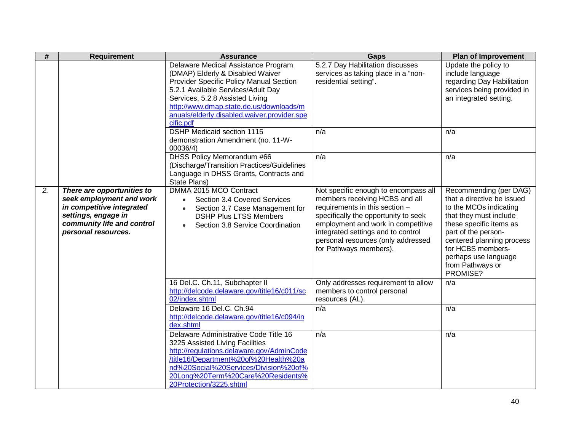| $\overline{\#}$ | <b>Requirement</b>                                                                                                                                              | <b>Assurance</b>                                                                                                                                                                                                                                                                                   | Gaps                                                                                                                                                                                                                                                                                         | <b>Plan of Improvement</b>                                                                                                                                                                                                                                           |
|-----------------|-----------------------------------------------------------------------------------------------------------------------------------------------------------------|----------------------------------------------------------------------------------------------------------------------------------------------------------------------------------------------------------------------------------------------------------------------------------------------------|----------------------------------------------------------------------------------------------------------------------------------------------------------------------------------------------------------------------------------------------------------------------------------------------|----------------------------------------------------------------------------------------------------------------------------------------------------------------------------------------------------------------------------------------------------------------------|
|                 |                                                                                                                                                                 | Delaware Medical Assistance Program<br>(DMAP) Elderly & Disabled Waiver<br>Provider Specific Policy Manual Section<br>5.2.1 Available Services/Adult Day<br>Services, 5.2.8 Assisted Living<br>http://www.dmap.state.de.us/downloads/m<br>anuals/elderly.disabled.waiver.provider.spe<br>cific.pdf | 5.2.7 Day Habilitation discusses<br>services as taking place in a "non-<br>residential setting".                                                                                                                                                                                             | Update the policy to<br>include language<br>regarding Day Habilitation<br>services being provided in<br>an integrated setting.                                                                                                                                       |
|                 |                                                                                                                                                                 | <b>DSHP Medicaid section 1115</b><br>demonstration Amendment (no. 11-W-<br>00036/4)                                                                                                                                                                                                                | n/a                                                                                                                                                                                                                                                                                          | n/a                                                                                                                                                                                                                                                                  |
|                 |                                                                                                                                                                 | DHSS Policy Memorandum #66<br>(Discharge/Transition Practices/Guidelines<br>Language in DHSS Grants, Contracts and<br>State Plans)                                                                                                                                                                 | n/a                                                                                                                                                                                                                                                                                          | n/a                                                                                                                                                                                                                                                                  |
| 2.              | There are opportunities to<br>seek employment and work<br>in competitive integrated<br>settings, engage in<br>community life and control<br>personal resources. | DMMA 2015 MCO Contract<br>Section 3.4 Covered Services<br>$\bullet$<br>Section 3.7 Case Management for<br>$\bullet$<br><b>DSHP Plus LTSS Members</b><br>Section 3.8 Service Coordination                                                                                                           | Not specific enough to encompass all<br>members receiving HCBS and all<br>requirements in this section -<br>specifically the opportunity to seek<br>employment and work in competitive<br>integrated settings and to control<br>personal resources (only addressed<br>for Pathways members). | Recommending (per DAG)<br>that a directive be issued<br>to the MCOs indicating<br>that they must include<br>these specific items as<br>part of the person-<br>centered planning process<br>for HCBS members-<br>perhaps use language<br>from Pathways or<br>PROMISE? |
|                 |                                                                                                                                                                 | 16 Del.C. Ch.11, Subchapter II<br>http://delcode.delaware.gov/title16/c011/sc<br>02/index.shtml                                                                                                                                                                                                    | Only addresses requirement to allow<br>members to control personal<br>resources (AL).                                                                                                                                                                                                        | n/a                                                                                                                                                                                                                                                                  |
|                 |                                                                                                                                                                 | Delaware 16 Del.C. Ch.94<br>http://delcode.delaware.gov/title16/c094/in<br>dex.shtml                                                                                                                                                                                                               | n/a                                                                                                                                                                                                                                                                                          | n/a                                                                                                                                                                                                                                                                  |
|                 |                                                                                                                                                                 | Delaware Administrative Code Title 16<br>3225 Assisted Living Facilities<br>http://regulations.delaware.gov/AdminCode<br>/title16/Department%20of%20Health%20a<br>nd%20Social%20Services/Division%20of%<br>20Long%20Term%20Care%20Residents%<br>20Protection/3225.shtml                            | n/a                                                                                                                                                                                                                                                                                          | n/a                                                                                                                                                                                                                                                                  |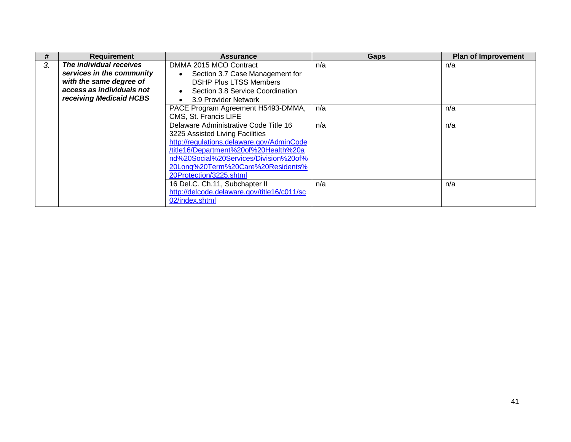| #  | <b>Requirement</b>        | <b>Assurance</b>                              | Gaps | <b>Plan of Improvement</b> |
|----|---------------------------|-----------------------------------------------|------|----------------------------|
| 3. | The individual receives   | DMMA 2015 MCO Contract                        | n/a  | n/a                        |
|    | services in the community | Section 3.7 Case Management for<br>$\bullet$  |      |                            |
|    | with the same degree of   | <b>DSHP Plus LTSS Members</b>                 |      |                            |
|    | access as individuals not | Section 3.8 Service Coordination<br>$\bullet$ |      |                            |
|    | receiving Medicaid HCBS   | 3.9 Provider Network<br>$\bullet$             |      |                            |
|    |                           | PACE Program Agreement H5493-DMMA,            | n/a  | n/a                        |
|    |                           | CMS, St. Francis LIFE                         |      |                            |
|    |                           | Delaware Administrative Code Title 16         | n/a  | n/a                        |
|    |                           | 3225 Assisted Living Facilities               |      |                            |
|    |                           | http://regulations.delaware.gov/AdminCode     |      |                            |
|    |                           | /title16/Department%20of%20Health%20a         |      |                            |
|    |                           | nd%20Social%20Services/Division%20of%         |      |                            |
|    |                           | 20Long%20Term%20Care%20Residents%             |      |                            |
|    |                           | 20Protection/3225.shtml                       |      |                            |
|    |                           | 16 Del.C. Ch.11, Subchapter II                | n/a  | n/a                        |
|    |                           | http://delcode.delaware.gov/title16/c011/sc   |      |                            |
|    |                           | 02/index.shtml                                |      |                            |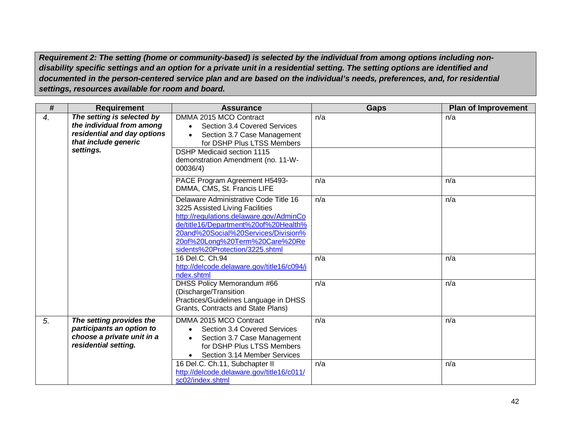*Requirement 2: The setting (home or community-based) is selected by the individual from among options including nondisability specific settings and an option for a private unit in a residential setting. The setting options are identified and documented in the person-centered service plan and are based on the individual's needs, preferences, and, for residential settings, resources available for room and board.*

| $\#$ | <b>Requirement</b>                                                                                                          | <b>Assurance</b>                                                                                                                                                                                                                                                        | <b>Gaps</b> | <b>Plan of Improvement</b> |
|------|-----------------------------------------------------------------------------------------------------------------------------|-------------------------------------------------------------------------------------------------------------------------------------------------------------------------------------------------------------------------------------------------------------------------|-------------|----------------------------|
| 4.   | The setting is selected by<br>the individual from among<br>residential and day options<br>that include generic<br>settings. | DMMA 2015 MCO Contract<br>Section 3.4 Covered Services<br>Section 3.7 Case Management<br>for DSHP Plus LTSS Members<br><b>DSHP Medicaid section 1115</b><br>demonstration Amendment (no. 11-W-<br>00036/4)                                                              | n/a         | n/a                        |
|      |                                                                                                                             | PACE Program Agreement H5493-<br>DMMA, CMS, St. Francis LIFE                                                                                                                                                                                                            | n/a         | n/a                        |
|      |                                                                                                                             | Delaware Administrative Code Title 16<br>3225 Assisted Living Facilities<br>http://regulations.delaware.gov/AdminCo<br>de/title16/Department%20of%20Health%<br>20and%20Social%20Services/Division%<br>20of%20Long%20Term%20Care%20Re<br>sidents%20Protection/3225.shtml | n/a         | n/a                        |
|      |                                                                                                                             | 16 Del.C. Ch.94<br>http://delcode.delaware.gov/title16/c094/i<br>ndex.shtml                                                                                                                                                                                             | n/a         | n/a                        |
|      |                                                                                                                             | <b>DHSS Policy Memorandum #66</b><br>(Discharge/Transition<br>Practices/Guidelines Language in DHSS<br>Grants, Contracts and State Plans)                                                                                                                               | n/a         | n/a                        |
| 5.   | The setting provides the<br>participants an option to<br>choose a private unit in a<br>residential setting.                 | DMMA 2015 MCO Contract<br>Section 3.4 Covered Services<br>Section 3.7 Case Management<br>for DSHP Plus LTSS Members<br>Section 3.14 Member Services                                                                                                                     | n/a         | n/a                        |
|      |                                                                                                                             | 16 Del.C. Ch.11, Subchapter II<br>http://delcode.delaware.gov/title16/c011/<br>sc02/index.shtml                                                                                                                                                                         | n/a         | n/a                        |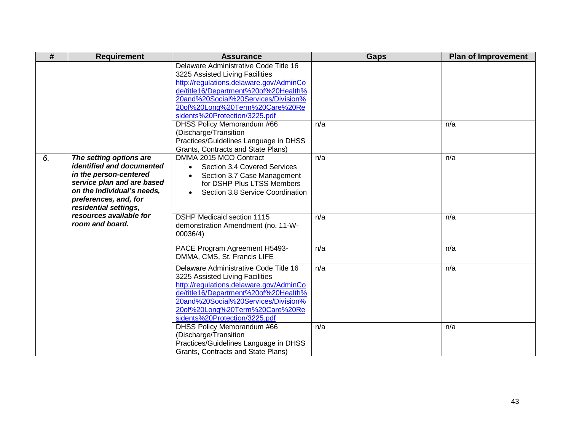| #  | <b>Requirement</b>                                                                                                                                                                           | <b>Assurance</b>                                                                                                                                                                                                                                                      | <b>Gaps</b> | <b>Plan of Improvement</b> |
|----|----------------------------------------------------------------------------------------------------------------------------------------------------------------------------------------------|-----------------------------------------------------------------------------------------------------------------------------------------------------------------------------------------------------------------------------------------------------------------------|-------------|----------------------------|
|    |                                                                                                                                                                                              | Delaware Administrative Code Title 16<br>3225 Assisted Living Facilities<br>http://regulations.delaware.gov/AdminCo<br>de/title16/Department%20of%20Health%<br>20and%20Social%20Services/Division%<br>20of%20Long%20Term%20Care%20Re<br>sidents%20Protection/3225.pdf |             |                            |
|    |                                                                                                                                                                                              | <b>DHSS Policy Memorandum #66</b><br>(Discharge/Transition<br>Practices/Guidelines Language in DHSS<br>Grants, Contracts and State Plans)                                                                                                                             | n/a         | n/a                        |
| 6. | The setting options are<br>identified and documented<br>in the person-centered<br>service plan and are based<br>on the individual's needs,<br>preferences, and, for<br>residential settings, | DMMA 2015 MCO Contract<br>Section 3.4 Covered Services<br>$\bullet$<br>Section 3.7 Case Management<br>$\bullet$<br>for DSHP Plus LTSS Members<br>Section 3.8 Service Coordination                                                                                     | n/a         | n/a                        |
|    | resources available for<br>room and board.                                                                                                                                                   | <b>DSHP Medicaid section 1115</b><br>demonstration Amendment (no. 11-W-<br>00036/4)                                                                                                                                                                                   | n/a         | n/a                        |
|    |                                                                                                                                                                                              | PACE Program Agreement H5493-<br>DMMA, CMS, St. Francis LIFE                                                                                                                                                                                                          | n/a         | n/a                        |
|    |                                                                                                                                                                                              | Delaware Administrative Code Title 16<br>3225 Assisted Living Facilities<br>http://regulations.delaware.gov/AdminCo<br>de/title16/Department%20of%20Health%<br>20and%20Social%20Services/Division%<br>20of%20Long%20Term%20Care%20Re<br>sidents%20Protection/3225.pdf | n/a         | n/a                        |
|    |                                                                                                                                                                                              | DHSS Policy Memorandum #66<br>(Discharge/Transition<br>Practices/Guidelines Language in DHSS<br>Grants, Contracts and State Plans)                                                                                                                                    | n/a         | n/a                        |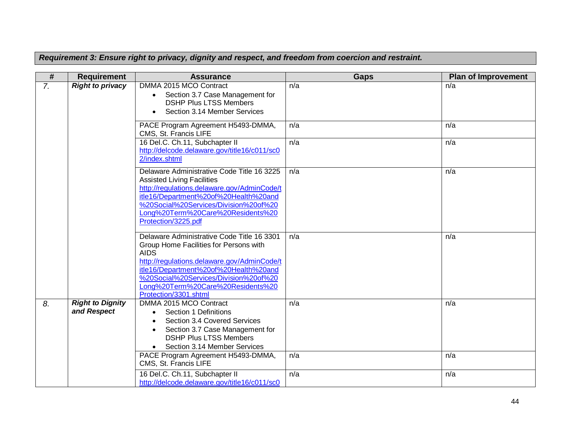*Requirement 3: Ensure right to privacy, dignity and respect, and freedom from coercion and restraint.*

| #                | <b>Requirement</b>                     | <b>Assurance</b>                                                                                                                                                                                                                                                                                   | Gaps | <b>Plan of Improvement</b> |
|------------------|----------------------------------------|----------------------------------------------------------------------------------------------------------------------------------------------------------------------------------------------------------------------------------------------------------------------------------------------------|------|----------------------------|
| $\overline{7}$ . | <b>Right to privacy</b>                | DMMA 2015 MCO Contract<br>Section 3.7 Case Management for<br>$\bullet$<br><b>DSHP Plus LTSS Members</b><br>Section 3.14 Member Services                                                                                                                                                            | n/a  | n/a                        |
|                  |                                        | PACE Program Agreement H5493-DMMA,<br>CMS, St. Francis LIFE                                                                                                                                                                                                                                        | n/a  | n/a                        |
|                  |                                        | 16 Del.C. Ch.11, Subchapter II<br>http://delcode.delaware.gov/title16/c011/sc0<br>2/index.shtml                                                                                                                                                                                                    | n/a  | n/a                        |
|                  |                                        | Delaware Administrative Code Title 16 3225<br><b>Assisted Living Facilities</b><br>http://regulations.delaware.gov/AdminCode/t<br>itle16/Department%20of%20Health%20and<br>%20Social%20Services/Division%20of%20<br>Long%20Term%20Care%20Residents%20<br>Protection/3225.pdf                       | n/a  | n/a                        |
|                  |                                        | Delaware Administrative Code Title 16 3301<br>Group Home Facilities for Persons with<br><b>AIDS</b><br>http://regulations.delaware.gov/AdminCode/t<br>itle16/Department%20of%20Health%20and<br>%20Social%20Services/Division%20of%20<br>Long%20Term%20Care%20Residents%20<br>Protection/3301.shtml | n/a  | n/a                        |
| 8.               | <b>Right to Dignity</b><br>and Respect | DMMA 2015 MCO Contract<br>Section 1 Definitions<br>Section 3.4 Covered Services<br>$\bullet$<br>Section 3.7 Case Management for<br><b>DSHP Plus LTSS Members</b><br>Section 3.14 Member Services                                                                                                   | n/a  | n/a                        |
|                  |                                        | PACE Program Agreement H5493-DMMA,<br>CMS, St. Francis LIFE                                                                                                                                                                                                                                        | n/a  | n/a                        |
|                  |                                        | 16 Del.C. Ch.11, Subchapter II<br>http://delcode.delaware.gov/title16/c011/sc0                                                                                                                                                                                                                     | n/a  | n/a                        |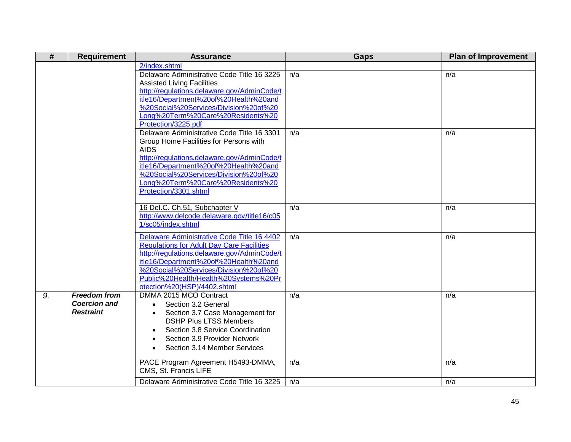| #  | <b>Requirement</b>  | <b>Assurance</b>                                                                     | <b>Gaps</b> | <b>Plan of Improvement</b> |
|----|---------------------|--------------------------------------------------------------------------------------|-------------|----------------------------|
|    |                     | 2/index.shtml                                                                        |             |                            |
|    |                     | Delaware Administrative Code Title 16 3225                                           | n/a         | n/a                        |
|    |                     | <b>Assisted Living Facilities</b>                                                    |             |                            |
|    |                     | http://regulations.delaware.gov/AdminCode/t                                          |             |                            |
|    |                     | itle16/Department%20of%20Health%20and                                                |             |                            |
|    |                     | %20Social%20Services/Division%20of%20                                                |             |                            |
|    |                     | Long%20Term%20Care%20Residents%20                                                    |             |                            |
|    |                     | Protection/3225.pdf                                                                  |             |                            |
|    |                     | Delaware Administrative Code Title 16 3301                                           | n/a         | n/a                        |
|    |                     | Group Home Facilities for Persons with                                               |             |                            |
|    |                     | <b>AIDS</b>                                                                          |             |                            |
|    |                     | http://regulations.delaware.gov/AdminCode/t<br>itle16/Department%20of%20Health%20and |             |                            |
|    |                     | %20Social%20Services/Division%20of%20                                                |             |                            |
|    |                     | Long%20Term%20Care%20Residents%20                                                    |             |                            |
|    |                     | Protection/3301.shtml                                                                |             |                            |
|    |                     |                                                                                      |             |                            |
|    |                     | 16 Del.C. Ch.51, Subchapter V                                                        | n/a         | n/a                        |
|    |                     | http://www.delcode.delaware.gov/title16/c05                                          |             |                            |
|    |                     | 1/sc05/index.shtml                                                                   |             |                            |
|    |                     | Delaware Administrative Code Title 16 4402                                           | n/a         | n/a                        |
|    |                     | <b>Regulations for Adult Day Care Facilities</b>                                     |             |                            |
|    |                     | http://regulations.delaware.gov/AdminCode/t                                          |             |                            |
|    |                     | itle16/Department%20of%20Health%20and                                                |             |                            |
|    |                     | %20Social%20Services/Division%20of%20                                                |             |                            |
|    |                     | Public%20Health/Health%20Systems%20Pr                                                |             |                            |
|    |                     | otection%20(HSP)/4402.shtml                                                          |             |                            |
| 9. | <b>Freedom from</b> | DMMA 2015 MCO Contract                                                               | n/a         | n/a                        |
|    | <b>Coercion and</b> | Section 3.2 General<br>$\bullet$                                                     |             |                            |
|    | <b>Restraint</b>    | Section 3.7 Case Management for<br>$\bullet$                                         |             |                            |
|    |                     | <b>DSHP Plus LTSS Members</b>                                                        |             |                            |
|    |                     | Section 3.8 Service Coordination<br>$\bullet$                                        |             |                            |
|    |                     | Section 3.9 Provider Network                                                         |             |                            |
|    |                     | Section 3.14 Member Services                                                         |             |                            |
|    |                     | PACE Program Agreement H5493-DMMA,                                                   | n/a         | n/a                        |
|    |                     | CMS, St. Francis LIFE                                                                |             |                            |
|    |                     |                                                                                      |             |                            |
|    |                     | Delaware Administrative Code Title 16 3225                                           | n/a         | n/a                        |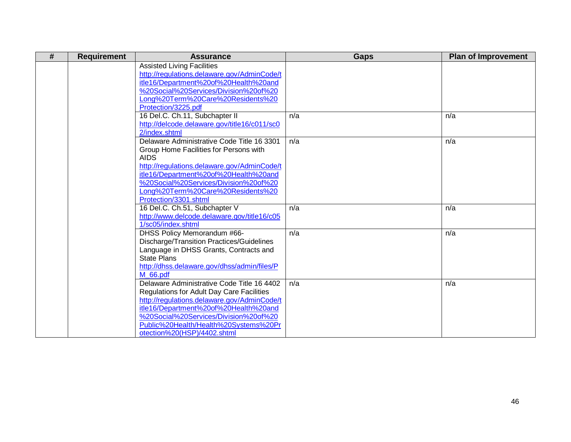| # | <b>Requirement</b> | <b>Assurance</b>                                 | <b>Gaps</b> | <b>Plan of Improvement</b> |
|---|--------------------|--------------------------------------------------|-------------|----------------------------|
|   |                    | <b>Assisted Living Facilities</b>                |             |                            |
|   |                    | http://regulations.delaware.gov/AdminCode/t      |             |                            |
|   |                    | itle16/Department%20of%20Health%20and            |             |                            |
|   |                    | %20Social%20Services/Division%20of%20            |             |                            |
|   |                    | Long%20Term%20Care%20Residents%20                |             |                            |
|   |                    | Protection/3225.pdf                              |             |                            |
|   |                    | 16 Del.C. Ch.11, Subchapter II                   | n/a         | n/a                        |
|   |                    | http://delcode.delaware.gov/title16/c011/sc0     |             |                            |
|   |                    | 2/index.shtml                                    |             |                            |
|   |                    | Delaware Administrative Code Title 16 3301       | n/a         | n/a                        |
|   |                    | Group Home Facilities for Persons with           |             |                            |
|   |                    | <b>AIDS</b>                                      |             |                            |
|   |                    | http://regulations.delaware.gov/AdminCode/t      |             |                            |
|   |                    | itle16/Department%20of%20Health%20and            |             |                            |
|   |                    | %20Social%20Services/Division%20of%20            |             |                            |
|   |                    | Long%20Term%20Care%20Residents%20                |             |                            |
|   |                    | Protection/3301.shtml                            |             |                            |
|   |                    | 16 Del.C. Ch.51, Subchapter V                    | n/a         | n/a                        |
|   |                    | http://www.delcode.delaware.gov/title16/c05      |             |                            |
|   |                    | 1/sc05/index.shtml                               |             |                            |
|   |                    | DHSS Policy Memorandum #66-                      | n/a         | n/a                        |
|   |                    | Discharge/Transition Practices/Guidelines        |             |                            |
|   |                    | Language in DHSS Grants, Contracts and           |             |                            |
|   |                    | <b>State Plans</b>                               |             |                            |
|   |                    | http://dhss.delaware.gov/dhss/admin/files/P      |             |                            |
|   |                    | M 66.pdf                                         |             |                            |
|   |                    | Delaware Administrative Code Title 16 4402       | n/a         | n/a                        |
|   |                    | <b>Regulations for Adult Day Care Facilities</b> |             |                            |
|   |                    | http://regulations.delaware.gov/AdminCode/t      |             |                            |
|   |                    | itle16/Department%20of%20Health%20and            |             |                            |
|   |                    | %20Social%20Services/Division%20of%20            |             |                            |
|   |                    | Public%20Health/Health%20Systems%20Pr            |             |                            |
|   |                    | otection%20(HSP)/4402.shtml                      |             |                            |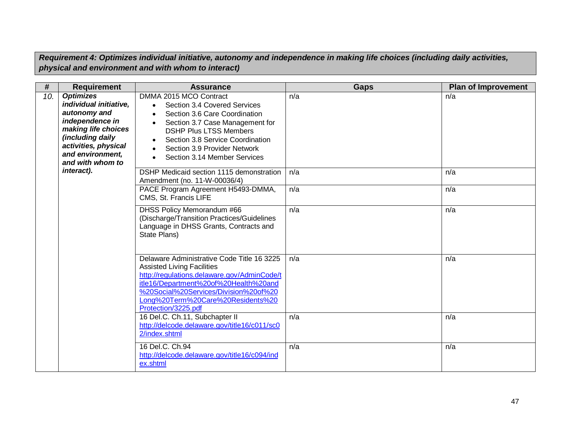*Requirement 4: Optimizes individual initiative, autonomy and independence in making life choices (including daily activities, physical and environment and with whom to interact)*

| #   | <b>Requirement</b>                                                                                                                                                                       | <b>Assurance</b>                                                                                                                                                                                                                                                                                                                 | <b>Gaps</b> | <b>Plan of Improvement</b> |
|-----|------------------------------------------------------------------------------------------------------------------------------------------------------------------------------------------|----------------------------------------------------------------------------------------------------------------------------------------------------------------------------------------------------------------------------------------------------------------------------------------------------------------------------------|-------------|----------------------------|
| 10. | <b>Optimizes</b><br>individual initiative,<br>autonomy and<br>independence in<br>making life choices<br>(including daily<br>activities, physical<br>and environment,<br>and with whom to | DMMA 2015 MCO Contract<br>Section 3.4 Covered Services<br>$\bullet$<br>Section 3.6 Care Coordination<br>$\bullet$<br>Section 3.7 Case Management for<br>$\bullet$<br><b>DSHP Plus LTSS Members</b><br>Section 3.8 Service Coordination<br>Section 3.9 Provider Network<br>$\bullet$<br>Section 3.14 Member Services<br>$\bullet$ | n/a         | n/a                        |
|     | interact).                                                                                                                                                                               | DSHP Medicaid section 1115 demonstration<br>Amendment (no. 11-W-00036/4)                                                                                                                                                                                                                                                         | n/a         | n/a                        |
|     |                                                                                                                                                                                          | PACE Program Agreement H5493-DMMA,<br>CMS, St. Francis LIFE                                                                                                                                                                                                                                                                      | n/a         | n/a                        |
|     |                                                                                                                                                                                          | DHSS Policy Memorandum #66<br>(Discharge/Transition Practices/Guidelines<br>Language in DHSS Grants, Contracts and<br>State Plans)                                                                                                                                                                                               | n/a         | n/a                        |
|     |                                                                                                                                                                                          | Delaware Administrative Code Title 16 3225<br><b>Assisted Living Facilities</b><br>http://regulations.delaware.gov/AdminCode/t<br>itle16/Department%20of%20Health%20and<br>%20Social%20Services/Division%20of%20<br>Long%20Term%20Care%20Residents%20<br>Protection/3225.pdf                                                     | n/a         | n/a                        |
|     |                                                                                                                                                                                          | 16 Del.C. Ch.11, Subchapter II<br>http://delcode.delaware.gov/title16/c011/sc0<br>2/index.shtml                                                                                                                                                                                                                                  | n/a         | n/a                        |
|     |                                                                                                                                                                                          | 16 Del.C. Ch.94<br>http://delcode.delaware.gov/title16/c094/ind<br>ex.shtml                                                                                                                                                                                                                                                      | n/a         | n/a                        |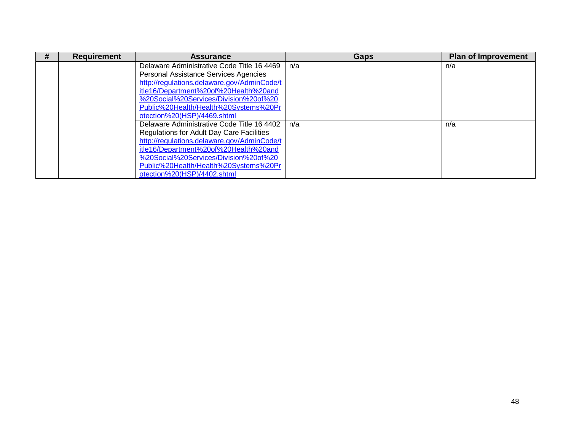| # | <b>Requirement</b> | <b>Assurance</b>                            | <b>Gaps</b> | <b>Plan of Improvement</b> |
|---|--------------------|---------------------------------------------|-------------|----------------------------|
|   |                    | Delaware Administrative Code Title 16 4469  | n/a         | n/a                        |
|   |                    | Personal Assistance Services Agencies       |             |                            |
|   |                    | http://regulations.delaware.gov/AdminCode/t |             |                            |
|   |                    | itle16/Department%20of%20Health%20and       |             |                            |
|   |                    | %20Social%20Services/Division%20of%20       |             |                            |
|   |                    | Public%20Health/Health%20Systems%20Pr       |             |                            |
|   |                    | otection%20(HSP)/4469.shtml                 |             |                            |
|   |                    | Delaware Administrative Code Title 16 4402  | n/a         | n/a                        |
|   |                    | Regulations for Adult Day Care Facilities   |             |                            |
|   |                    | http://regulations.delaware.gov/AdminCode/t |             |                            |
|   |                    | itle16/Department%20of%20Health%20and       |             |                            |
|   |                    | %20Social%20Services/Division%20of%20       |             |                            |
|   |                    | Public%20Health/Health%20Systems%20Pr       |             |                            |
|   |                    | otection%20(HSP)/4402.shtml                 |             |                            |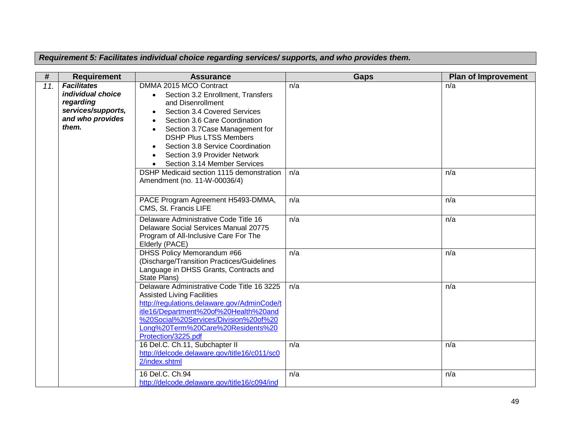*Requirement 5: Facilitates individual choice regarding services/ supports, and who provides them.*

| #   | <b>Requirement</b>                                                                                      | <b>Assurance</b>                                                                                                                                                                                                                                                                                                                      | <b>Gaps</b> | <b>Plan of Improvement</b> |
|-----|---------------------------------------------------------------------------------------------------------|---------------------------------------------------------------------------------------------------------------------------------------------------------------------------------------------------------------------------------------------------------------------------------------------------------------------------------------|-------------|----------------------------|
| 11. | <b>Facilitates</b><br>individual choice<br>regarding<br>services/supports,<br>and who provides<br>them. | DMMA 2015 MCO Contract<br>Section 3.2 Enrollment, Transfers<br>and Disenrollment<br>Section 3.4 Covered Services<br>Section 3.6 Care Coordination<br>$\bullet$<br>Section 3.7Case Management for<br><b>DSHP Plus LTSS Members</b><br>Section 3.8 Service Coordination<br>Section 3.9 Provider Network<br>Section 3.14 Member Services | n/a         | n/a                        |
|     |                                                                                                         | DSHP Medicaid section 1115 demonstration<br>Amendment (no. 11-W-00036/4)                                                                                                                                                                                                                                                              | n/a         | n/a                        |
|     |                                                                                                         | PACE Program Agreement H5493-DMMA,<br>CMS, St. Francis LIFE                                                                                                                                                                                                                                                                           | n/a         | n/a                        |
|     |                                                                                                         | Delaware Administrative Code Title 16<br>Delaware Social Services Manual 20775<br>Program of All-Inclusive Care For The<br>Elderly (PACE)                                                                                                                                                                                             | n/a         | n/a                        |
|     |                                                                                                         | <b>DHSS Policy Memorandum #66</b><br>(Discharge/Transition Practices/Guidelines<br>Language in DHSS Grants, Contracts and<br>State Plans)                                                                                                                                                                                             | n/a         | n/a                        |
|     |                                                                                                         | Delaware Administrative Code Title 16 3225<br><b>Assisted Living Facilities</b><br>http://regulations.delaware.gov/AdminCode/t<br>itle16/Department%20of%20Health%20and<br>%20Social%20Services/Division%20of%20<br>Long%20Term%20Care%20Residents%20<br>Protection/3225.pdf                                                          | n/a         | n/a                        |
|     |                                                                                                         | 16 Del.C. Ch.11, Subchapter II<br>http://delcode.delaware.gov/title16/c011/sc0<br>2/index.shtml                                                                                                                                                                                                                                       | n/a         | n/a                        |
|     |                                                                                                         | 16 Del.C. Ch.94<br>http://delcode.delaware.gov/title16/c094/ind                                                                                                                                                                                                                                                                       | n/a         | n/a                        |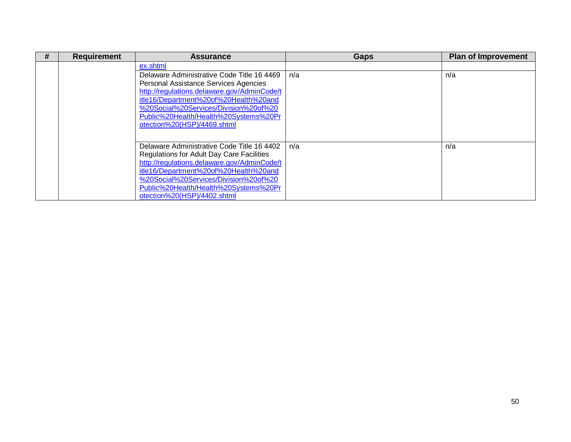| # | <b>Requirement</b> | <b>Assurance</b>                            | Gaps | <b>Plan of Improvement</b> |
|---|--------------------|---------------------------------------------|------|----------------------------|
|   |                    | ex.shtml                                    |      |                            |
|   |                    | Delaware Administrative Code Title 16 4469  | n/a  | n/a                        |
|   |                    | Personal Assistance Services Agencies       |      |                            |
|   |                    | http://regulations.delaware.gov/AdminCode/t |      |                            |
|   |                    | itle16/Department%20of%20Health%20and       |      |                            |
|   |                    | %20Social%20Services/Division%20of%20       |      |                            |
|   |                    | Public%20Health/Health%20Systems%20Pr       |      |                            |
|   |                    | otection%20(HSP)/4469.shtml                 |      |                            |
|   |                    |                                             |      |                            |
|   |                    | Delaware Administrative Code Title 16 4402  | n/a  | n/a                        |
|   |                    | Regulations for Adult Day Care Facilities   |      |                            |
|   |                    | http://regulations.delaware.gov/AdminCode/t |      |                            |
|   |                    | itle16/Department%20of%20Health%20and       |      |                            |
|   |                    | %20Social%20Services/Division%20of%20       |      |                            |
|   |                    | Public%20Health/Health%20Systems%20Pr       |      |                            |
|   |                    | otection%20(HSP)/4402.shtml                 |      |                            |